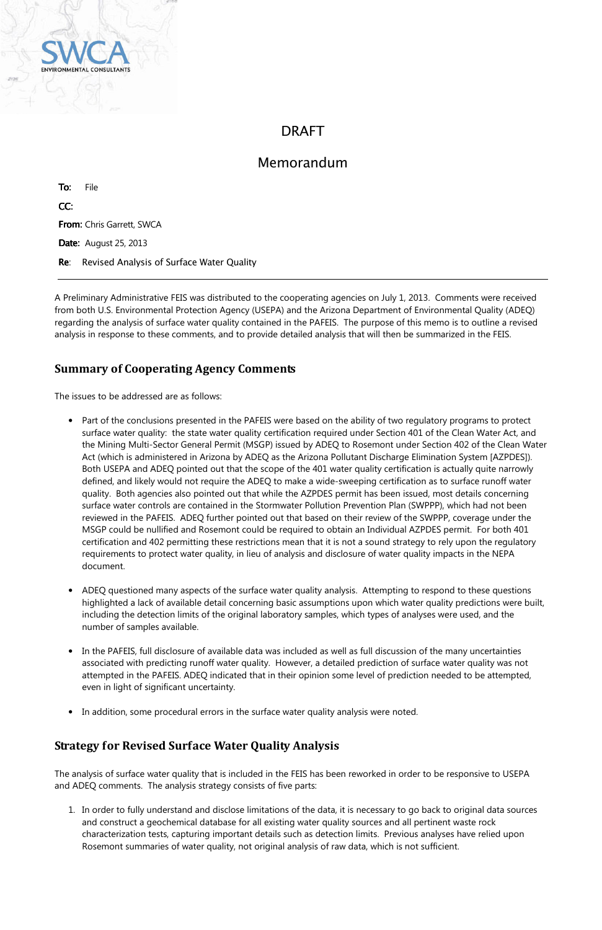

# DRAFT

To: File CC: From: Chris Garrett, SWCA Date: August 25, 2013 Re: Revised Analysis of Surface Water Quality

# Memorandum

A Preliminary Administrative FEIS was distributed to the cooperating agencies on July 1, 2013. Comments were received from both U.S. Environmental Protection Agency (USEPA) and the Arizona Department of Environmental Quality (ADEQ) regarding the analysis of surface water quality contained in the PAFEIS. The purpose of this memo is to outline a revised analysis in response to these comments, and to provide detailed analysis that will then be summarized in the FEIS.

# Summary of Cooperating Agency Comments

The issues to be addressed are as follows:

- Part of the conclusions presented in the PAFEIS were based on the ability of two regulatory programs to protect surface water quality: the state water quality certification required under Section 401 of the Clean Water Act, and the Mining Multi-Sector General Permit (MSGP) issued by ADEQ to Rosemont under Section 402 of the Clean Water Act (which is administered in Arizona by ADEQ as the Arizona Pollutant Discharge Elimination System [AZPDES]). Both USEPA and ADEQ pointed out that the scope of the 401 water quality certification is actually quite narrowly defined, and likely would not require the ADEQ to make a wide-sweeping certification as to surface runoff water quality. Both agencies also pointed out that while the AZPDES permit has been issued, most details concerning surface water controls are contained in the Stormwater Pollution Prevention Plan (SWPPP), which had not been reviewed in the PAFEIS. ADEQ further pointed out that based on their review of the SWPPP, coverage under the MSGP could be nullified and Rosemont could be required to obtain an Individual AZPDES permit. For both 401 certification and 402 permitting these restrictions mean that it is not a sound strategy to rely upon the regulatory requirements to protect water quality, in lieu of analysis and disclosure of water quality impacts in the NEPA document.
- ADEQ questioned many aspects of the surface water quality analysis. Attempting to respond to these questions highlighted a lack of available detail concerning basic assumptions upon which water quality predictions were built, including the detection limits of the original laboratory samples, which types of analyses were used, and the number of samples available.
- In the PAFEIS, full disclosure of available data was included as well as full discussion of the many uncertainties associated with predicting runoff water quality. However, a detailed prediction of surface water quality was not attempted in the PAFEIS. ADEQ indicated that in their opinion some level of prediction needed to be attempted,
	- even in light of significant uncertainty.
- In addition, some procedural errors in the surface water quality analysis were noted.

# Strategy for Revised Surface Water Quality Analysis

The analysis of surface water quality that is included in the FEIS has been reworked in order to be responsive to USEPA and ADEQ comments. The analysis strategy consists of five parts:

1. In order to fully understand and disclose limitations of the data, it is necessary to go back to original data sources and construct a geochemical database for all existing water quality sources and all pertinent waste rock characterization tests, capturing important details such as detection limits. Previous analyses have relied upon Rosemont summaries of water quality, not original analysis of raw data, which is not sufficient.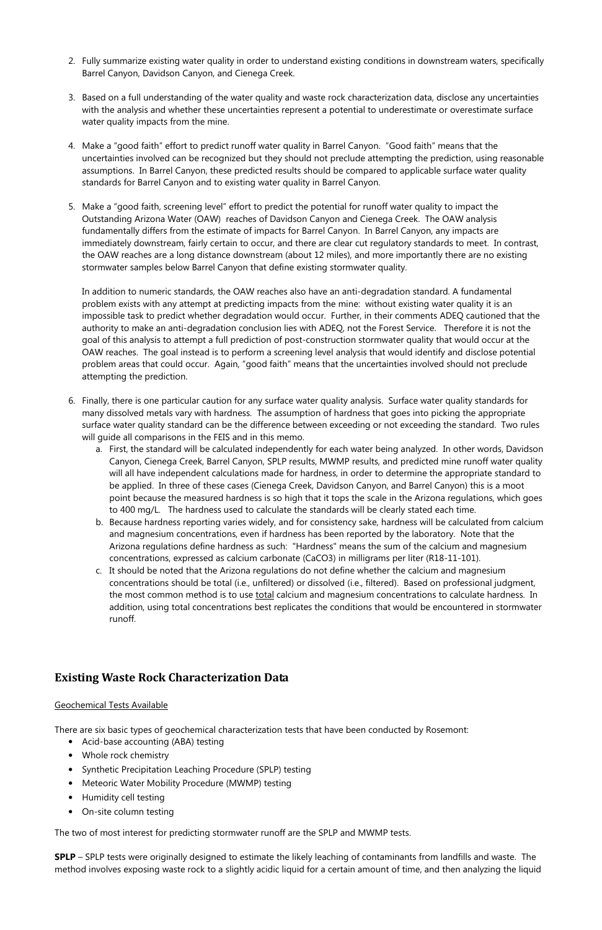- 2. Fully summarize existing water quality in order to understand existing conditions in downstream waters, specifically Barrel Canyon, Davidson Canyon, and Cienega Creek.
- 3. Based on a full understanding of the water quality and waste rock characterization data, disclose any uncertainties with the analysis and whether these uncertainties represent a potential to underestimate or overestimate surface water quality impacts from the mine.
- 4. Make a "good faith" effort to predict runoff water quality in Barrel Canyon. "Good faith" means that the uncertainties involved can be recognized but they should not preclude attempting the prediction, using reasonable assumptions. In Barrel Canyon, these predicted results should be compared to applicable surface water quality standards for Barrel Canyon and to existing water quality in Barrel Canyon.
- 5. Make a "good faith, screening level" effort to predict the potential for runoff water quality to impact the Outstanding Arizona Water (OAW) reaches of Davidson Canyon and Cienega Creek. The OAW analysis fundamentally differs from the estimate of impacts for Barrel Canyon. In Barrel Canyon, any impacts are immediately downstream, fairly certain to occur, and there are clear cut regulatory standards to meet. In contrast, the OAW reaches are a long distance downstream (about 12 miles), and more importantly there are no existing stormwater samples below Barrel Canyon that define existing stormwater quality.

In addition to numeric standards, the OAW reaches also have an anti-degradation standard. A fundamental problem exists with any attempt at predicting impacts from the mine: without existing water quality it is an impossible task to predict whether degradation would occur. Further, in their comments ADEQ cautioned that the authority to make an anti-degradation conclusion lies with ADEQ, not the Forest Service. Therefore it is not the goal of this analysis to attempt a full prediction of post-construction stormwater quality that would occur at the OAW reaches. The goal instead is to perform a screening level analysis that would identify and disclose potential problem areas that could occur. Again, "good faith" means that the uncertainties involved should not preclude attempting the prediction.

- 6. Finally, there is one particular caution for any surface water quality analysis. Surface water quality standards for many dissolved metals vary with hardness. The assumption of hardness that goes into picking the appropriate surface water quality standard can be the difference between exceeding or not exceeding the standard. Two rules will guide all comparisons in the FEIS and in this memo.
	- a. First, the standard will be calculated independently for each water being analyzed. In other words, Davidson Canyon, Cienega Creek, Barrel Canyon, SPLP results, MWMP results, and predicted mine runoff water quality will all have independent calculations made for hardness, in order to determine the appropriate standard to be applied. In three of these cases (Cienega Creek, Davidson Canyon, and Barrel Canyon) this is a moot point because the measured hardness is so high that it tops the scale in the Arizona regulations, which goes to 400 mg/L. The hardness used to calculate the standards will be clearly stated each time.
	- b. Because hardness reporting varies widely, and for consistency sake, hardness will be calculated from calcium and magnesium concentrations, even if hardness has been reported by the laboratory. Note that the Arizona regulations define hardness as such: "Hardness" means the sum of the calcium and magnesium concentrations, expressed as calcium carbonate (CaCO3) in milligrams per liter (R18-11-101).
	- c. It should be noted that the Arizona regulations do not define whether the calcium and magnesium concentrations should be total (i.e., unfiltered) or dissolved (i.e., filtered). Based on professional judgment, the most common method is to use total calcium and magnesium concentrations to calculate hardness. In addition, using total concentrations best replicates the conditions that would be encountered in stormwater runoff.

## Existing Waste Rock Characterization Data

### Geochemical Tests Available

There are six basic types of geochemical characterization tests that have been conducted by Rosemont:

- Acid-base accounting (ABA) testing
- Whole rock chemistry
- Synthetic Precipitation Leaching Procedure (SPLP) testing
- Meteoric Water Mobility Procedure (MWMP) testing
- Humidity cell testing
- On-site column testing

The two of most interest for predicting stormwater runoff are the SPLP and MWMP tests.

SPLP – SPLP tests were originally designed to estimate the likely leaching of contaminants from landfills and waste. The method involves exposing waste rock to a slightly acidic liquid for a certain amount of time, and then analyzing the liquid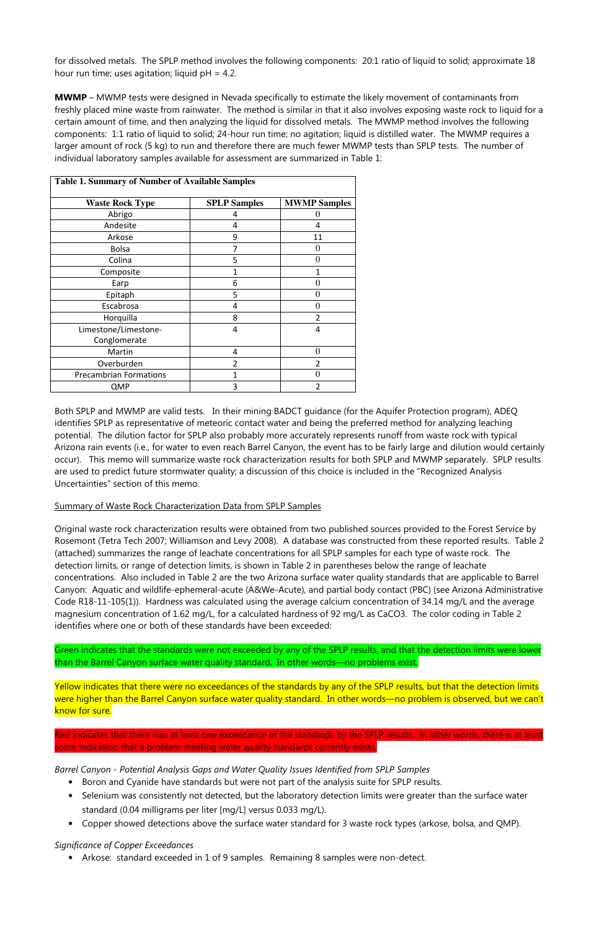for dissolved metals. The SPLP method involves the following components: 20:1 ratio of liquid to solid; approximate 18 hour run time; uses agitation; liquid  $pH = 4.2$ .

MWMP – MWMP tests were designed in Nevada specifically to estimate the likely movement of contaminants from freshly placed mine waste from rainwater. The method is similar in that it also involves exposing waste rock to liquid for a certain amount of time, and then analyzing the liquid for dissolved metals. The MWMP method involves the following components: 1:1 ratio of liquid to solid; 24-hour run time; no agitation; liquid is distilled water. The MWMP requires a larger amount of rock (5 kg) to run and therefore there are much fewer MWMP tests than SPLP tests. The number of individual laboratory samples available for assessment are summarized in Table 1:

| <b>Table 1. Summary of Number of Available Samples</b> |                     |                     |  |  |  |  |  |
|--------------------------------------------------------|---------------------|---------------------|--|--|--|--|--|
| <b>Waste Rock Type</b>                                 | <b>SPLP Samples</b> | <b>MWMP Samples</b> |  |  |  |  |  |
| Abrigo                                                 | 4                   | O                   |  |  |  |  |  |
| Andesite                                               | 4                   | 4                   |  |  |  |  |  |
| Arkose                                                 | 9                   | 11                  |  |  |  |  |  |
| <b>Bolsa</b>                                           | 7                   | 0                   |  |  |  |  |  |
| Colina                                                 | 5                   | 0                   |  |  |  |  |  |
| Composite                                              |                     |                     |  |  |  |  |  |
| Earp                                                   | 6                   | $\mathbf{\Omega}$   |  |  |  |  |  |
| Epitaph                                                | 5                   | $\mathbf{\Omega}$   |  |  |  |  |  |
| Escabrosa                                              | 4                   | $\mathbf{\Omega}$   |  |  |  |  |  |
| Horquilla                                              | 8                   | 2                   |  |  |  |  |  |
| Limestone/Limestone-                                   | 4                   | 4                   |  |  |  |  |  |
| Conglomerate                                           |                     |                     |  |  |  |  |  |
| Martin                                                 | 4                   | 0                   |  |  |  |  |  |
| Overburden                                             | 2                   | $\overline{2}$      |  |  |  |  |  |
| <b>Precambrian Formations</b>                          | 1                   | 0                   |  |  |  |  |  |
| QMP                                                    | 3                   | 2                   |  |  |  |  |  |

Both SPLP and MWMP are valid tests. In their mining BADCT guidance (for the Aquifer Protection program), ADEQ identifies SPLP as representative of meteoric contact water and being the preferred method for analyzing leaching potential. The dilution factor for SPLP also probably more accurately represents runoff from waste rock with typical Arizona rain events (i.e., for water to even reach Barrel Canyon, the event has to be fairly large and dilution would certainly occur). This memo will summarize waste rock characterization results for both SPLP and MWMP separately. SPLP results are used to predict future stormwater quality; a discussion of this choice is included in the "Recognized Analysis Uncertainties" section of this memo.

Yellow indicates that there were no exceedances of the standards by any of the SPLP results, but that the detection limits were higher than the Barrel Canyon surface water quality standard. In other words—no problem is observed, but we can't know for sure.

## Summary of Waste Rock Characterization Data from SPLP Samples

Original waste rock characterization results were obtained from two published sources provided to the Forest Service by Rosemont (Tetra Tech 2007; Williamson and Levy 2008). A database was constructed from these reported results. Table 2 (attached) summarizes the range of leachate concentrations for all SPLP samples for each type of waste rock. The detection limits, or range of detection limits, is shown in Table 2 in parentheses below the range of leachate concentrations. Also included in Table 2 are the two Arizona surface water quality standards that are applicable to Barrel Canyon: Aquatic and wildlife-ephemeral-acute (A&We-Acute), and partial body contact (PBC) (see Arizona Administrative Code R18-11-105(1)). Hardness was calculated using the average calcium concentration of 34.14 mg/L and the average magnesium concentration of 1.62 mg/L, for a calculated hardness of 92 mg/L as CaCO3. The color coding in Table 2 identifies where one or both of these standards have been exceeded:

Green indicates that the standards were not exceeded by any of the SPLP results, and that the detection limits were lower than the Barrel Canyon surface water quality standard. In other words—no problems exist.

Red indicates that there was at least one exceedance of the standards by the SPLP results. In other words, there is at least some indication that a problem meeting water quality standards currently exists.

Barrel Canyon - Potential Analysis Gaps and Water Quality Issues Identified from SPLP Samples

- Boron and Cyanide have standards but were not part of the analysis suite for SPLP results.
- Selenium was consistently not detected, but the laboratory detection limits were greater than the surface water standard (0.04 milligrams per liter [mg/L] versus 0.033 mg/L).
- Copper showed detections above the surface water standard for 3 waste rock types (arkose, bolsa, and QMP).

### Significance of Copper Exceedances

• Arkose: standard exceeded in 1 of 9 samples. Remaining 8 samples were non-detect.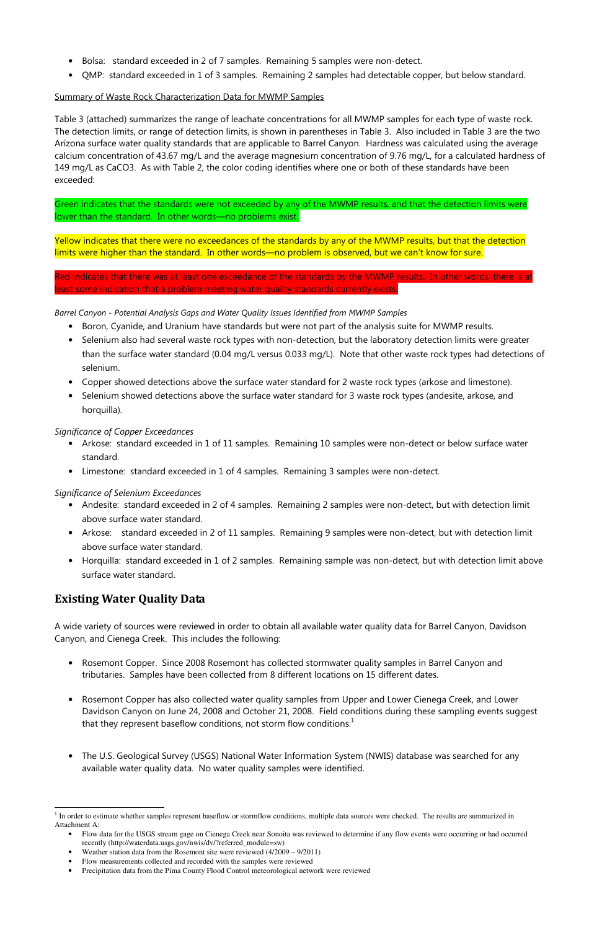- Bolsa: standard exceeded in 2 of 7 samples. Remaining 5 samples were non-detect.
- QMP: standard exceeded in 1 of 3 samples. Remaining 2 samples had detectable copper, but below standard.

## Summary of Waste Rock Characterization Data for MWMP Samples

Table 3 (attached) summarizes the range of leachate concentrations for all MWMP samples for each type of waste rock. The detection limits, or range of detection limits, is shown in parentheses in Table 3. Also included in Table 3 are the two Arizona surface water quality standards that are applicable to Barrel Canyon. Hardness was calculated using the average calcium concentration of 43.67 mg/L and the average magnesium concentration of 9.76 mg/L, for a calculated hardness of 149 mg/L as CaCO3. As with Table 2, the color coding identifies where one or both of these standards have been exceeded:

Yellow indicates that there were no exceedances of the standards by any of the MWMP results, but that the detection limits were higher than the standard. In other words—no problem is observed, but we can't know for sure.

Red indicates that there was at least one exceedance of the standards by the MWMP results. In other words, there is at east some indication that a problem meeting water quality standards currently exists.

Green indicates that the standards were not exceeded by any of the MWMP results, and that the detection limits were lower than the standard. In other words—no problems exist.

Barrel Canyon - Potential Analysis Gaps and Water Quality Issues Identified from MWMP Samples

- Boron, Cyanide, and Uranium have standards but were not part of the analysis suite for MWMP results.
- Selenium also had several waste rock types with non-detection, but the laboratory detection limits were greater than the surface water standard (0.04 mg/L versus 0.033 mg/L). Note that other waste rock types had detections of selenium.
- Copper showed detections above the surface water standard for 2 waste rock types (arkose and limestone).
- Selenium showed detections above the surface water standard for 3 waste rock types (andesite, arkose, and horquilla).

- Flow data for the USGS stream gage on Cienega Creek near Sonoita was reviewed to determine if any flow events were occurring or had occurred recently (http://waterdata.usgs.gov/nwis/dv/?referred\_module=sw)
- Weather station data from the Rosemont site were reviewed (4/2009 9/2011)
- Flow measurements collected and recorded with the samples were reviewed
- Precipitation data from the Pima County Flood Control meteorological network were reviewed

## Significance of Copper Exceedances

- Arkose: standard exceeded in 1 of 11 samples. Remaining 10 samples were non-detect or below surface water standard.
- Limestone: standard exceeded in 1 of 4 samples. Remaining 3 samples were non-detect.

## Significance of Selenium Exceedances

- Andesite: standard exceeded in 2 of 4 samples. Remaining 2 samples were non-detect, but with detection limit above surface water standard.
- Arkose: standard exceeded in 2 of 11 samples. Remaining 9 samples were non-detect, but with detection limit above surface water standard.
- Horquilla: standard exceeded in 1 of 2 samples. Remaining sample was non-detect, but with detection limit above surface water standard.

# Existing Water Quality Data

 $\overline{a}$ 

A wide variety of sources were reviewed in order to obtain all available water quality data for Barrel Canyon, Davidson Canyon, and Cienega Creek. This includes the following:

- Rosemont Copper. Since 2008 Rosemont has collected stormwater quality samples in Barrel Canyon and tributaries. Samples have been collected from 8 different locations on 15 different dates.
- Rosemont Copper has also collected water quality samples from Upper and Lower Cienega Creek, and Lower Davidson Canyon on June 24, 2008 and October 21, 2008. Field conditions during these sampling events suggest that they represent baseflow conditions, not storm flow conditions.<sup>1</sup>
- The U.S. Geological Survey (USGS) National Water Information System (NWIS) database was searched for any available water quality data. No water quality samples were identified.

 $1$  In order to estimate whether samples represent baseflow or stormflow conditions, multiple data sources were checked. The results are summarized in Attachment A: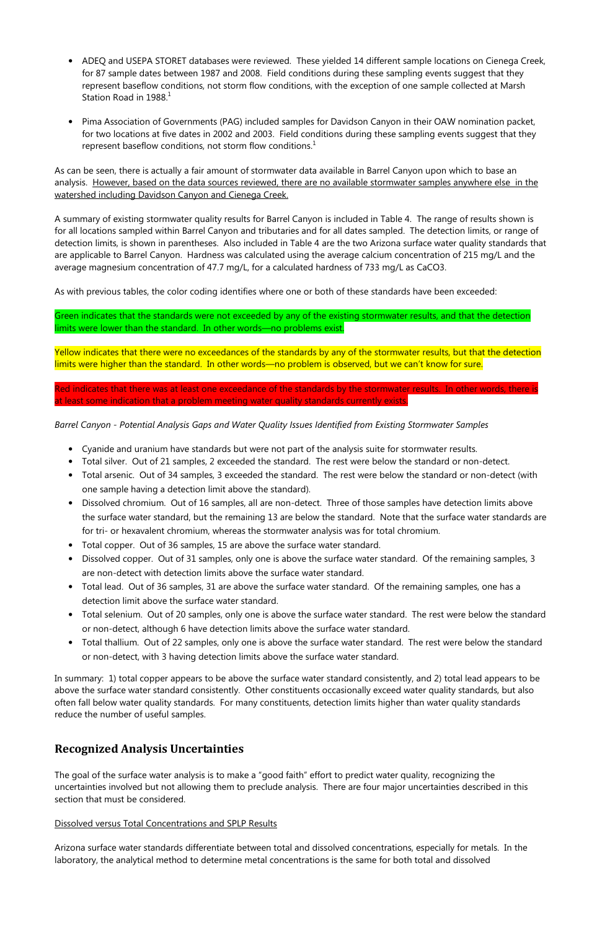- ADEQ and USEPA STORET databases were reviewed. These yielded 14 different sample locations on Cienega Creek, for 87 sample dates between 1987 and 2008. Field conditions during these sampling events suggest that they represent baseflow conditions, not storm flow conditions, with the exception of one sample collected at Marsh Station Road in  $1988<sup>1</sup>$
- Pima Association of Governments (PAG) included samples for Davidson Canyon in their OAW nomination packet, for two locations at five dates in 2002 and 2003. Field conditions during these sampling events suggest that they represent baseflow conditions, not storm flow conditions. $<sup>1</sup>$ </sup>

As can be seen, there is actually a fair amount of stormwater data available in Barrel Canyon upon which to base an analysis. However, based on the data sources reviewed, there are no available stormwater samples anywhere else in the watershed including Davidson Canyon and Cienega Creek.

A summary of existing stormwater quality results for Barrel Canyon is included in Table 4. The range of results shown is for all locations sampled within Barrel Canyon and tributaries and for all dates sampled. The detection limits, or range of detection limits, is shown in parentheses. Also included in Table 4 are the two Arizona surface water quality standards that are applicable to Barrel Canyon. Hardness was calculated using the average calcium concentration of 215 mg/L and the average magnesium concentration of 47.7 mg/L, for a calculated hardness of 733 mg/L as CaCO3.

As with previous tables, the color coding identifies where one or both of these standards have been exceeded:

Green indicates that the standards were not exceeded by any of the existing stormwater results, and that the detection limits were lower than the standard. In other words—no problems exist.

Yellow indicates that there were no exceedances of the standards by any of the stormwater results, but that the detection limits were higher than the standard. In other words—no problem is observed, but we can't know for sure.

Red indicates that there was at least one exceedance of the standards by the stormwater results. In other words, there is at least some indication that a problem meeting water quality standards currently exists.

Barrel Canyon - Potential Analysis Gaps and Water Quality Issues Identified from Existing Stormwater Samples

- Cyanide and uranium have standards but were not part of the analysis suite for stormwater results.
- Total silver. Out of 21 samples, 2 exceeded the standard. The rest were below the standard or non-detect.
- Total arsenic. Out of 34 samples, 3 exceeded the standard. The rest were below the standard or non-detect (with one sample having a detection limit above the standard).
- Dissolved chromium. Out of 16 samples, all are non-detect. Three of those samples have detection limits above the surface water standard, but the remaining 13 are below the standard. Note that the surface water standards are for tri- or hexavalent chromium, whereas the stormwater analysis was for total chromium.
- Total copper. Out of 36 samples, 15 are above the surface water standard.
- Dissolved copper. Out of 31 samples, only one is above the surface water standard. Of the remaining samples, 3 are non-detect with detection limits above the surface water standard.
- Total lead. Out of 36 samples, 31 are above the surface water standard. Of the remaining samples, one has a detection limit above the surface water standard.
- Total selenium. Out of 20 samples, only one is above the surface water standard. The rest were below the standard or non-detect, although 6 have detection limits above the surface water standard.
- Total thallium. Out of 22 samples, only one is above the surface water standard. The rest were below the standard or non-detect, with 3 having detection limits above the surface water standard.

In summary: 1) total copper appears to be above the surface water standard consistently, and 2) total lead appears to be

above the surface water standard consistently. Other constituents occasionally exceed water quality standards, but also often fall below water quality standards. For many constituents, detection limits higher than water quality standards reduce the number of useful samples.

## Recognized Analysis Uncertainties

The goal of the surface water analysis is to make a "good faith" effort to predict water quality, recognizing the uncertainties involved but not allowing them to preclude analysis. There are four major uncertainties described in this section that must be considered.

### Dissolved versus Total Concentrations and SPLP Results

Arizona surface water standards differentiate between total and dissolved concentrations, especially for metals. In the laboratory, the analytical method to determine metal concentrations is the same for both total and dissolved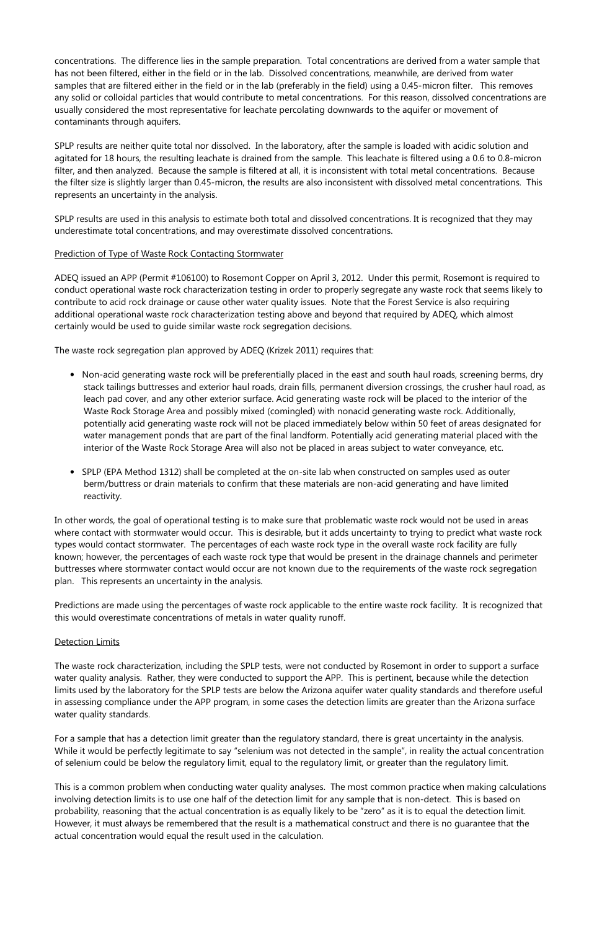concentrations. The difference lies in the sample preparation. Total concentrations are derived from a water sample that has not been filtered, either in the field or in the lab. Dissolved concentrations, meanwhile, are derived from water samples that are filtered either in the field or in the lab (preferably in the field) using a 0.45-micron filter. This removes any solid or colloidal particles that would contribute to metal concentrations. For this reason, dissolved concentrations are usually considered the most representative for leachate percolating downwards to the aquifer or movement of contaminants through aquifers.

SPLP results are neither quite total nor dissolved. In the laboratory, after the sample is loaded with acidic solution and agitated for 18 hours, the resulting leachate is drained from the sample. This leachate is filtered using a 0.6 to 0.8-micron filter, and then analyzed. Because the sample is filtered at all, it is inconsistent with total metal concentrations. Because the filter size is slightly larger than 0.45-micron, the results are also inconsistent with dissolved metal concentrations. This represents an uncertainty in the analysis.

SPLP results are used in this analysis to estimate both total and dissolved concentrations. It is recognized that they may underestimate total concentrations, and may overestimate dissolved concentrations.

## Prediction of Type of Waste Rock Contacting Stormwater

ADEQ issued an APP (Permit #106100) to Rosemont Copper on April 3, 2012. Under this permit, Rosemont is required to conduct operational waste rock characterization testing in order to properly segregate any waste rock that seems likely to contribute to acid rock drainage or cause other water quality issues. Note that the Forest Service is also requiring additional operational waste rock characterization testing above and beyond that required by ADEQ, which almost certainly would be used to guide similar waste rock segregation decisions.

The waste rock segregation plan approved by ADEQ (Krizek 2011) requires that:

- Non-acid generating waste rock will be preferentially placed in the east and south haul roads, screening berms, dry stack tailings buttresses and exterior haul roads, drain fills, permanent diversion crossings, the crusher haul road, as leach pad cover, and any other exterior surface. Acid generating waste rock will be placed to the interior of the Waste Rock Storage Area and possibly mixed (comingled) with nonacid generating waste rock. Additionally, potentially acid generating waste rock will not be placed immediately below within 50 feet of areas designated for water management ponds that are part of the final landform. Potentially acid generating material placed with the interior of the Waste Rock Storage Area will also not be placed in areas subject to water conveyance, etc.
- SPLP (EPA Method 1312) shall be completed at the on-site lab when constructed on samples used as outer berm/buttress or drain materials to confirm that these materials are non-acid generating and have limited reactivity.

In other words, the goal of operational testing is to make sure that problematic waste rock would not be used in areas where contact with stormwater would occur. This is desirable, but it adds uncertainty to trying to predict what waste rock types would contact stormwater. The percentages of each waste rock type in the overall waste rock facility are fully known; however, the percentages of each waste rock type that would be present in the drainage channels and perimeter buttresses where stormwater contact would occur are not known due to the requirements of the waste rock segregation plan. This represents an uncertainty in the analysis.

Predictions are made using the percentages of waste rock applicable to the entire waste rock facility. It is recognized that this would overestimate concentrations of metals in water quality runoff.

## **Detection Limits**

The waste rock characterization, including the SPLP tests, were not conducted by Rosemont in order to support a surface water quality analysis. Rather, they were conducted to support the APP. This is pertinent, because while the detection

limits used by the laboratory for the SPLP tests are below the Arizona aquifer water quality standards and therefore useful in assessing compliance under the APP program, in some cases the detection limits are greater than the Arizona surface water quality standards.

For a sample that has a detection limit greater than the regulatory standard, there is great uncertainty in the analysis. While it would be perfectly legitimate to say "selenium was not detected in the sample", in reality the actual concentration of selenium could be below the regulatory limit, equal to the regulatory limit, or greater than the regulatory limit.

This is a common problem when conducting water quality analyses. The most common practice when making calculations involving detection limits is to use one half of the detection limit for any sample that is non-detect. This is based on probability, reasoning that the actual concentration is as equally likely to be "zero" as it is to equal the detection limit. However, it must always be remembered that the result is a mathematical construct and there is no guarantee that the actual concentration would equal the result used in the calculation.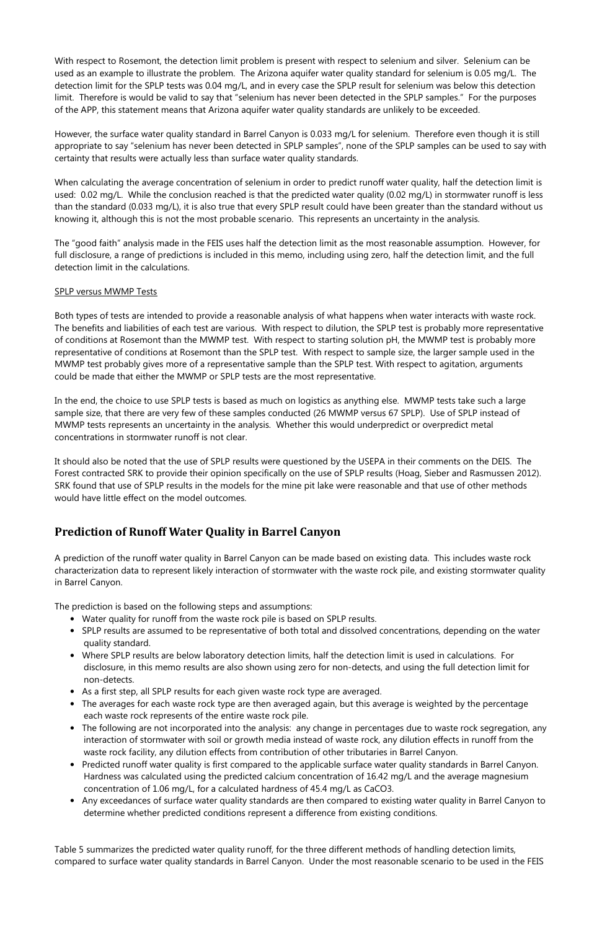With respect to Rosemont, the detection limit problem is present with respect to selenium and silver. Selenium can be used as an example to illustrate the problem. The Arizona aquifer water quality standard for selenium is 0.05 mg/L. The detection limit for the SPLP tests was 0.04 mg/L, and in every case the SPLP result for selenium was below this detection limit. Therefore is would be valid to say that "selenium has never been detected in the SPLP samples." For the purposes of the APP, this statement means that Arizona aquifer water quality standards are unlikely to be exceeded.

However, the surface water quality standard in Barrel Canyon is 0.033 mg/L for selenium. Therefore even though it is still appropriate to say "selenium has never been detected in SPLP samples", none of the SPLP samples can be used to say with certainty that results were actually less than surface water quality standards.

When calculating the average concentration of selenium in order to predict runoff water quality, half the detection limit is used: 0.02 mg/L. While the conclusion reached is that the predicted water quality (0.02 mg/L) in stormwater runoff is less than the standard (0.033 mg/L), it is also true that every SPLP result could have been greater than the standard without us knowing it, although this is not the most probable scenario. This represents an uncertainty in the analysis.

The "good faith" analysis made in the FEIS uses half the detection limit as the most reasonable assumption. However, for full disclosure, a range of predictions is included in this memo, including using zero, half the detection limit, and the full detection limit in the calculations.

## SPLP versus MWMP Tests

Both types of tests are intended to provide a reasonable analysis of what happens when water interacts with waste rock. The benefits and liabilities of each test are various. With respect to dilution, the SPLP test is probably more representative of conditions at Rosemont than the MWMP test. With respect to starting solution pH, the MWMP test is probably more representative of conditions at Rosemont than the SPLP test. With respect to sample size, the larger sample used in the MWMP test probably gives more of a representative sample than the SPLP test. With respect to agitation, arguments could be made that either the MWMP or SPLP tests are the most representative.

In the end, the choice to use SPLP tests is based as much on logistics as anything else. MWMP tests take such a large sample size, that there are very few of these samples conducted (26 MWMP versus 67 SPLP). Use of SPLP instead of MWMP tests represents an uncertainty in the analysis. Whether this would underpredict or overpredict metal concentrations in stormwater runoff is not clear.

It should also be noted that the use of SPLP results were questioned by the USEPA in their comments on the DEIS. The Forest contracted SRK to provide their opinion specifically on the use of SPLP results (Hoag, Sieber and Rasmussen 2012). SRK found that use of SPLP results in the models for the mine pit lake were reasonable and that use of other methods would have little effect on the model outcomes.

# Prediction of Runoff Water Quality in Barrel Canyon

A prediction of the runoff water quality in Barrel Canyon can be made based on existing data. This includes waste rock characterization data to represent likely interaction of stormwater with the waste rock pile, and existing stormwater quality in Barrel Canyon.

The prediction is based on the following steps and assumptions:

- Water quality for runoff from the waste rock pile is based on SPLP results.
- SPLP results are assumed to be representative of both total and dissolved concentrations, depending on the water quality standard.
- Where SPLP results are below laboratory detection limits, half the detection limit is used in calculations. For disclosure, in this memo results are also shown using zero for non-detects, and using the full detection limit for non-detects.
- As a first step, all SPLP results for each given waste rock type are averaged.
- The averages for each waste rock type are then averaged again, but this average is weighted by the percentage each waste rock represents of the entire waste rock pile.
- The following are not incorporated into the analysis: any change in percentages due to waste rock segregation, any interaction of stormwater with soil or growth media instead of waste rock, any dilution effects in runoff from the waste rock facility, any dilution effects from contribution of other tributaries in Barrel Canyon.
- Predicted runoff water quality is first compared to the applicable surface water quality standards in Barrel Canyon. Hardness was calculated using the predicted calcium concentration of 16.42 mg/L and the average magnesium concentration of 1.06 mg/L, for a calculated hardness of 45.4 mg/L as CaCO3.
- Any exceedances of surface water quality standards are then compared to existing water quality in Barrel Canyon to determine whether predicted conditions represent a difference from existing conditions.

Table 5 summarizes the predicted water quality runoff, for the three different methods of handling detection limits, compared to surface water quality standards in Barrel Canyon. Under the most reasonable scenario to be used in the FEIS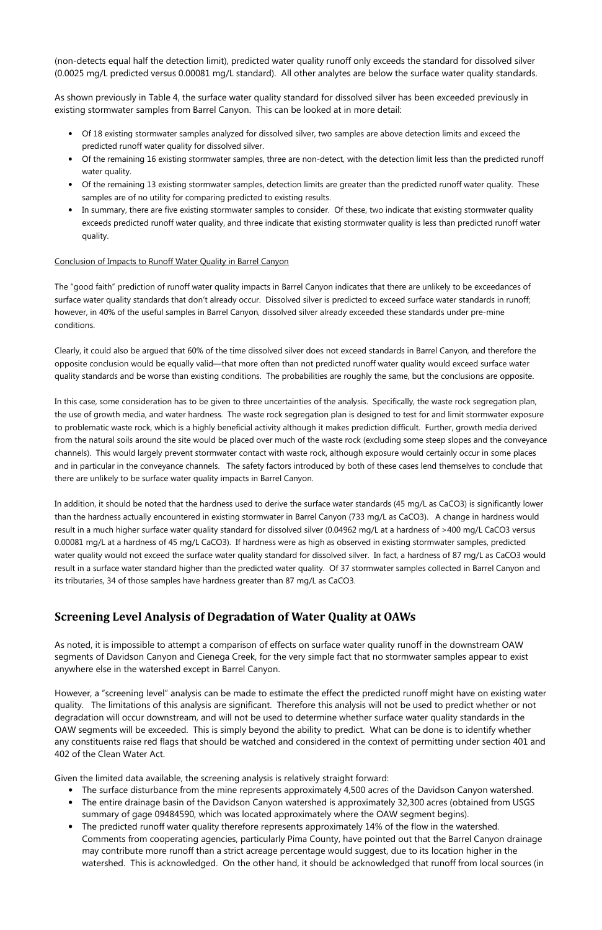(non-detects equal half the detection limit), predicted water quality runoff only exceeds the standard for dissolved silver (0.0025 mg/L predicted versus 0.00081 mg/L standard). All other analytes are below the surface water quality standards.

As shown previously in Table 4, the surface water quality standard for dissolved silver has been exceeded previously in existing stormwater samples from Barrel Canyon. This can be looked at in more detail:

- Of 18 existing stormwater samples analyzed for dissolved silver, two samples are above detection limits and exceed the predicted runoff water quality for dissolved silver.
- Of the remaining 16 existing stormwater samples, three are non-detect, with the detection limit less than the predicted runoff water quality.
- Of the remaining 13 existing stormwater samples, detection limits are greater than the predicted runoff water quality. These samples are of no utility for comparing predicted to existing results.
- In summary, there are five existing stormwater samples to consider. Of these, two indicate that existing stormwater quality exceeds predicted runoff water quality, and three indicate that existing stormwater quality is less than predicted runoff water quality.

### Conclusion of Impacts to Runoff Water Quality in Barrel Canyon

The "good faith" prediction of runoff water quality impacts in Barrel Canyon indicates that there are unlikely to be exceedances of surface water quality standards that don't already occur. Dissolved silver is predicted to exceed surface water standards in runoff; however, in 40% of the useful samples in Barrel Canyon, dissolved silver already exceeded these standards under pre-mine conditions.

Clearly, it could also be argued that 60% of the time dissolved silver does not exceed standards in Barrel Canyon, and therefore the opposite conclusion would be equally valid—that more often than not predicted runoff water quality would exceed surface water quality standards and be worse than existing conditions. The probabilities are roughly the same, but the conclusions are opposite.

In this case, some consideration has to be given to three uncertainties of the analysis. Specifically, the waste rock segregation plan, the use of growth media, and water hardness. The waste rock segregation plan is designed to test for and limit stormwater exposure to problematic waste rock, which is a highly beneficial activity although it makes prediction difficult. Further, growth media derived from the natural soils around the site would be placed over much of the waste rock (excluding some steep slopes and the conveyance channels). This would largely prevent stormwater contact with waste rock, although exposure would certainly occur in some places and in particular in the conveyance channels. The safety factors introduced by both of these cases lend themselves to conclude that there are unlikely to be surface water quality impacts in Barrel Canyon.

In addition, it should be noted that the hardness used to derive the surface water standards (45 mg/L as CaCO3) is significantly lower than the hardness actually encountered in existing stormwater in Barrel Canyon (733 mg/L as CaCO3). A change in hardness would result in a much higher surface water quality standard for dissolved silver (0.04962 mg/L at a hardness of >400 mg/L CaCO3 versus 0.00081 mg/L at a hardness of 45 mg/L CaCO3). If hardness were as high as observed in existing stormwater samples, predicted water quality would not exceed the surface water quality standard for dissolved silver. In fact, a hardness of 87 mg/L as CaCO3 would result in a surface water standard higher than the predicted water quality. Of 37 stormwater samples collected in Barrel Canyon and its tributaries, 34 of those samples have hardness greater than 87 mg/L as CaCO3.

# Screening Level Analysis of Degradation of Water Quality at OAWs

As noted, it is impossible to attempt a comparison of effects on surface water quality runoff in the downstream OAW segments of Davidson Canyon and Cienega Creek, for the very simple fact that no stormwater samples appear to exist anywhere else in the watershed except in Barrel Canyon.

However, a "screening level" analysis can be made to estimate the effect the predicted runoff might have on existing water quality. The limitations of this analysis are significant. Therefore this analysis will not be used to predict whether or not degradation will occur downstream, and will not be used to determine whether surface water quality standards in the OAW segments will be exceeded. This is simply beyond the ability to predict. What can be done is to identify whether any constituents raise red flags that should be watched and considered in the context of permitting under section 401 and 402 of the Clean Water Act.

Given the limited data available, the screening analysis is relatively straight forward:

- The surface disturbance from the mine represents approximately 4,500 acres of the Davidson Canyon watershed.
- The entire drainage basin of the Davidson Canyon watershed is approximately 32,300 acres (obtained from USGS summary of gage 09484590, which was located approximately where the OAW segment begins).
- The predicted runoff water quality therefore represents approximately 14% of the flow in the watershed. Comments from cooperating agencies, particularly Pima County, have pointed out that the Barrel Canyon drainage may contribute more runoff than a strict acreage percentage would suggest, due to its location higher in the watershed. This is acknowledged. On the other hand, it should be acknowledged that runoff from local sources (in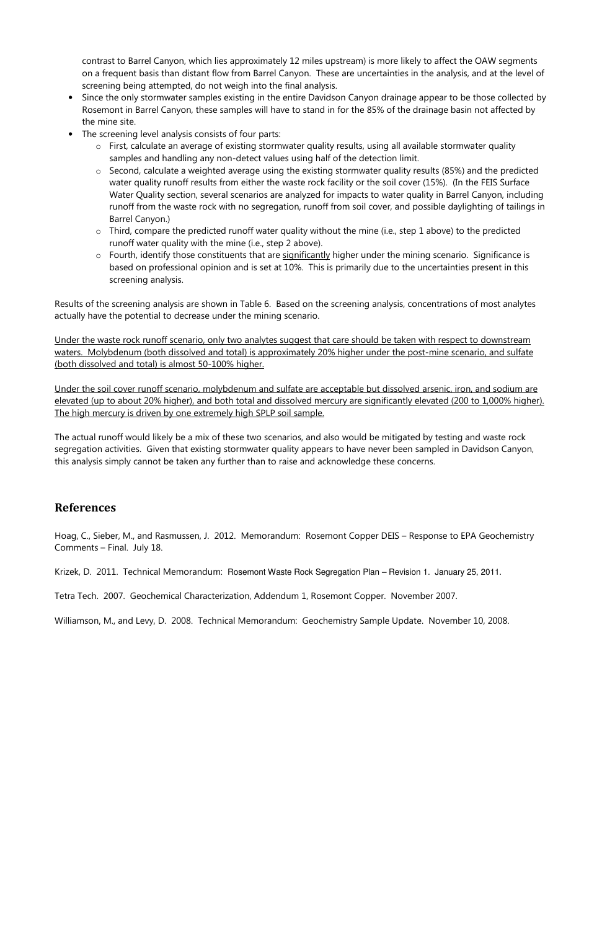contrast to Barrel Canyon, which lies approximately 12 miles upstream) is more likely to affect the OAW segments on a frequent basis than distant flow from Barrel Canyon. These are uncertainties in the analysis, and at the level of screening being attempted, do not weigh into the final analysis.

- Since the only stormwater samples existing in the entire Davidson Canyon drainage appear to be those collected by Rosemont in Barrel Canyon, these samples will have to stand in for the 85% of the drainage basin not affected by the mine site.
- The screening level analysis consists of four parts:
	- o First, calculate an average of existing stormwater quality results, using all available stormwater quality samples and handling any non-detect values using half of the detection limit.
	- o Second, calculate a weighted average using the existing stormwater quality results (85%) and the predicted water quality runoff results from either the waste rock facility or the soil cover (15%). (In the FEIS Surface Water Quality section, several scenarios are analyzed for impacts to water quality in Barrel Canyon, including runoff from the waste rock with no segregation, runoff from soil cover, and possible daylighting of tailings in Barrel Canyon.)
	- o Third, compare the predicted runoff water quality without the mine (i.e., step 1 above) to the predicted runoff water quality with the mine (i.e., step 2 above).
	- $\circ$  Fourth, identify those constituents that are significantly higher under the mining scenario. Significance is based on professional opinion and is set at 10%. This is primarily due to the uncertainties present in this screening analysis.

Results of the screening analysis are shown in Table 6. Based on the screening analysis, concentrations of most analytes actually have the potential to decrease under the mining scenario.

Under the waste rock runoff scenario, only two analytes suggest that care should be taken with respect to downstream waters. Molybdenum (both dissolved and total) is approximately 20% higher under the post-mine scenario, and sulfate (both dissolved and total) is almost 50-100% higher.

Under the soil cover runoff scenario, molybdenum and sulfate are acceptable but dissolved arsenic, iron, and sodium are elevated (up to about 20% higher), and both total and dissolved mercury are significantly elevated (200 to 1,000% higher). The high mercury is driven by one extremely high SPLP soil sample.

The actual runoff would likely be a mix of these two scenarios, and also would be mitigated by testing and waste rock segregation activities. Given that existing stormwater quality appears to have never been sampled in Davidson Canyon, this analysis simply cannot be taken any further than to raise and acknowledge these concerns.

# References

Hoag, C., Sieber, M., and Rasmussen, J. 2012. Memorandum: Rosemont Copper DEIS – Response to EPA Geochemistry Comments – Final. July 18.

Krizek, D. 2011. Technical Memorandum: Rosemont Waste Rock Segregation Plan – Revision 1. January 25, 2011.

Tetra Tech. 2007. Geochemical Characterization, Addendum 1, Rosemont Copper. November 2007.

Williamson, M., and Levy, D. 2008. Technical Memorandum: Geochemistry Sample Update. November 10, 2008.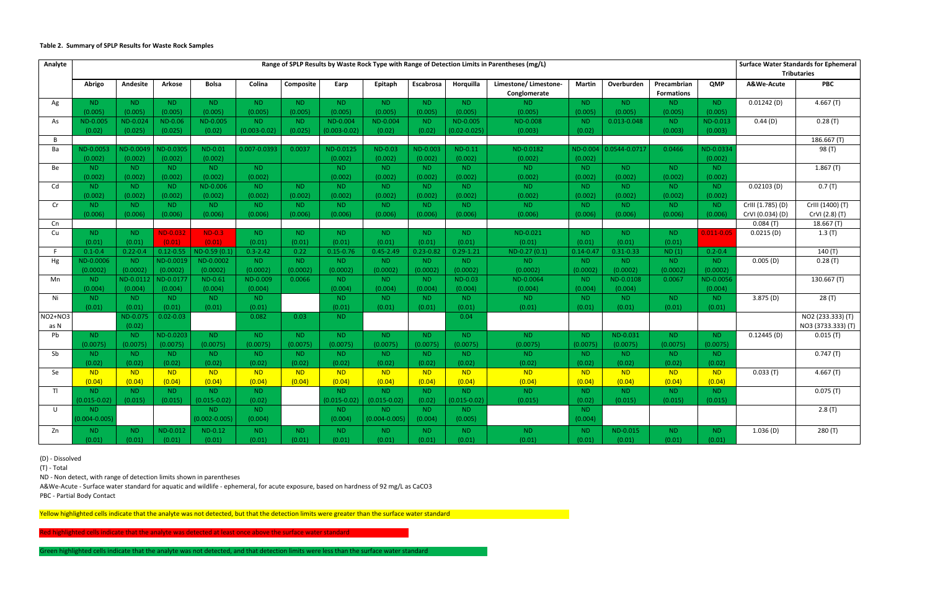#### Table 2. Summary of SPLP Results for Waste Rock Samples

| Analyte   | Range of SPLP Results by Waste Rock Type with Range of Detection Limits in Parentheses (mg/L) |                  |                |                   |                  |                |                  |                   |                | <b>Surface Water Standards for Ephemeral</b> |                                      |                |                    |                                  |                |                   |                    |
|-----------|-----------------------------------------------------------------------------------------------|------------------|----------------|-------------------|------------------|----------------|------------------|-------------------|----------------|----------------------------------------------|--------------------------------------|----------------|--------------------|----------------------------------|----------------|-------------------|--------------------|
|           |                                                                                               |                  |                |                   |                  |                |                  |                   |                |                                              |                                      |                | <b>Tributaries</b> |                                  |                |                   |                    |
|           | Abrigo                                                                                        | Andesite         | <b>Arkose</b>  | <b>Bolsa</b>      | Colina           | Composite      | Earp             | Epitaph           | Escabrosa      | Horguilla                                    | Limestone/Limestone-<br>Conglomerate | <b>Martin</b>  | Overburden         | Precambrian<br><b>Formations</b> | QMP            | A&We-Acute        | <b>PBC</b>         |
| Ag        | ND.                                                                                           | ND.              | ND.            | ND.               | ND.              | ND.            | ND.              | ND.               | ND.            | ND.                                          | ND.                                  | ND.            | ND.                | ND.                              | ND.            | $0.01242$ (D)     | 4.667(T)           |
|           | (0.005)                                                                                       | (0.005)          | (0.005)        | (0.005)           | (0.005)          | (0.005)        | (0.005)          | (0.005)           | (0.005)        | (0.005)                                      | (0.005)                              | (0.005)        | (0.005)            | (0.005)                          | (0.005)        |                   |                    |
| As        | ND-0.005                                                                                      | ND-0.024         | <b>ND-0.06</b> | ND-0.005          | ND.              | ND.            | <b>ND-0.004</b>  | ND-0.004          | N <sub>D</sub> | ND-0.005                                     | <b>ND-0.008</b>                      | N <sub>D</sub> | 0.013-0.048        | ND.                              | ND-0.013       | 0.44(D)           | 0.28(T)            |
|           | (0.02)                                                                                        | (0.025)          | (0.025)        | (0.02)            | $(0.003 - 0.02)$ | (0.025)        | $(0.003 - 0.02)$ | (0.02)            | (0.02)         | $0.02 - 0.025$                               | (0.003)                              | (0.02)         |                    | (0.003)                          | (0.003)        |                   |                    |
| B         |                                                                                               |                  |                |                   |                  |                |                  |                   |                |                                              |                                      |                |                    |                                  |                |                   | 186.667(T)         |
| Ba        | ND-0.0053                                                                                     | <b>VD-0.0049</b> | ND-0.0305      | ND-0.01           | 0.007-0.0393     | 0.0037         | ND-0.0125        | <b>ND-0.03</b>    | ND-0.003       | <b>ND-0.11</b>                               | ND-0.0182                            | ND-0.004       | 0.0544-0.0717      | 0.0466                           | VD-0.0334      |                   | 98 (T)             |
|           | (0.002)                                                                                       | (0.002)          | (0.002)        | (0.002)           |                  |                | (0.002)          | (0.002)           | (0.002)        | (0.002)                                      | (0.002)                              | (0.002)        |                    |                                  | (0.002)        |                   |                    |
| <b>Be</b> | ND.                                                                                           | ND.              | ND.            | <b>ND</b>         | <b>ND</b>        |                | ND.              | ND.               | N <sub>D</sub> | <b>ND</b>                                    | <b>ND</b>                            | ND.            | <b>ND</b>          | ND.                              | ND.            |                   | 1.867(T)           |
|           | (0.002)                                                                                       | (0.002)          | (0.002)        | (0.002)           | (0.002)          |                | (0.002)          | (0.002)           | (0.002)        | (0.002)                                      | (0.002)                              | (0.002)        | (0.002)            | (0.002)                          | (0.002)        |                   |                    |
| Cd        | ND.                                                                                           | ND.              | ND.            | ND-0.006          | ND.              | ND.            | ND.              | ND.               | N <sub>D</sub> | ND.                                          | ND.                                  | ND.            | <b>ND</b>          | ND.                              | ND.            | $0.02103$ (D)     | 0.7(T)             |
|           | (0.002)                                                                                       | (0.002)          | (0.002)        | (0.002)           | (0.002)          | (0.002)        | (0.002)          | (0.002)           | (0.002)        | (0.002)                                      | (0.002)                              | (0.002)        | (0.002)            | (0.002)                          | (0.002)        |                   |                    |
| Cr        | <b>ND</b>                                                                                     | <b>ND</b>        | <b>ND</b>      | <b>ND</b>         | <b>ND</b>        | <b>ND</b>      | <b>ND</b>        | <b>ND</b>         | <b>ND</b>      | <b>ND</b>                                    | <b>ND</b>                            | N <sub>D</sub> | <b>ND</b>          | <b>ND</b>                        | ND.            | CrIII (1.785) (D) | CrIII (1400) (T)   |
|           | (0.006)                                                                                       | (0.006)          | (0.006)        | (0.006)           | (0.006)          | (0.006)        | (0.006)          | (0.006)           | (0.006)        | (0.006)                                      | (0.006)                              | (0.006)        | (0.006)            | (0.006)                          | (0.006)        | CrVI (0.034) (D)  | CrVI (2.8) (T)     |
| <b>Cn</b> |                                                                                               |                  |                |                   |                  |                |                  |                   |                |                                              |                                      |                |                    |                                  |                | 0.084(T)          | 18.667(T)          |
| Cu        | ND.                                                                                           | ND.              | ND-0.032       | $ND-0.3$          | <b>ND</b>        | ND.            | ND.              | ND.               | <b>ND</b>      | ND.                                          | ND-0.021                             | ND.            | ND.                | ND.                              | $0.011 - 0.05$ | 0.0215(D)         | 1.3(T)             |
|           | (0.01)                                                                                        | (0.01)           | (0.01)         | (0.01)            | (0.01)           | (0.01)         | (0.01)           | (0.01)            | (0.01)         | (0.01)                                       | (0.01)                               | (0.01)         | (0.01)             | (0.01)                           |                |                   |                    |
| F         | $0.1 - 0.4$                                                                                   | $0.22 - 0.4$     | $0.12 - 0.55$  | ND-0.59 (0.1)     | $0.3 - 2.42$     | 0.22           | $0.15 - 0.76$    | $0.45 - 2.49$     | $0.23 - 0.82$  | $0.29 - 1.21$                                | ND-0.27 (0.1)                        | $0.14 - 0.47$  | $0.31 - 0.33$      | ND(1)                            | $0.2 - 0.4$    |                   | 140(T)             |
| Hg        | ND-0.0006                                                                                     | <b>ND</b>        | ND-0.0019      | ND-0.0002         | ND.              | ND.            | ND.              | ND.               | N <sub>D</sub> | ND.                                          | ND.                                  | ND.            | ND.                | ND.                              | ND.            | 0.005(D)          | 0.28(T)            |
|           | (0.0002)                                                                                      | (0.0002)         | (0.0002)       | (0.0002)          | (0.0002)         | (0.0002)       | (0.0002)         | (0.0002)          | (0.0002)       | (0.0002)                                     | (0.0002)                             | (0.0002)       | (0.0002)           | (0.0002)                         | (0.0002)       |                   |                    |
| Mn        | ND.                                                                                           | ND-0.0112        | ND-0.0177      | <b>ND-0.61</b>    | ND-0.009         | 0.0066         | ND.              | ND.               | N <sub>D</sub> | <b>ND-0.03</b>                               | ND-0.0064                            | ND.            | ND-0.0108          | 0.0067                           | ND-0.0056      |                   | 130.667 (T)        |
|           | (0.004)                                                                                       | (0.004)          | (0.004)        | (0.004)           | (0.004)          |                | (0.004)          | (0.004)           | (0.004)        | (0.004)                                      | (0.004)                              | (0.004)        | (0.004)            |                                  | (0.004)        |                   |                    |
| Ni        | <b>ND</b>                                                                                     | <b>ND</b>        | <b>ND</b>      | <b>ND</b>         | <b>ND</b>        |                | <b>ND</b>        | <b>ND</b>         | <b>ND</b>      | ND.                                          | <b>ND</b>                            | <b>ND</b>      | <b>ND</b>          | <b>ND</b>                        | <b>ND</b>      | 3.875(D)          | 28(T)              |
|           | (0.01)                                                                                        | (0.01)           | (0.01)         | (0.01)            | (0.01)           |                | (0.01)           | (0.01)            | (0.01)         | (0.01)                                       | (0.01)                               | (0.01)         | (0.01)             | (0.01)                           | (0.01)         |                   |                    |
| NO2+NO3   |                                                                                               | ND-0.075         | $0.02 - 0.03$  |                   | 0.082            | 0.03           | ND.              |                   |                | 0.04                                         |                                      |                |                    |                                  |                |                   | NO2 (233.333) (T)  |
| as N      |                                                                                               | (0.02)           |                |                   |                  |                |                  |                   |                |                                              |                                      |                |                    |                                  |                |                   | NO3 (3733.333) (T) |
| Pb        | ND.                                                                                           | ND.              | ND-0.0203      | <b>ND</b>         | <b>ND</b>        | ND.            | ND.              | ND.               | N <sub>D</sub> | ND.                                          | <b>ND</b>                            | ND.            | ND-0.031           | ND.                              | ND.            | 0.12445(D)        | 0.015(T)           |
|           | (0.0075)                                                                                      | (0.0075)         | (0.0075)       | (0.0075)          | (0.0075)         | (0.0075)       | (0.0075)         | (0.0075)          | (0.0075)       | (0.0075)                                     | (0.0075)                             | (0.0075)       | (0.0075)           | (0.0075)                         | (0.0075)       |                   |                    |
| Sb        | ND.                                                                                           | ND.              | ND.            | ND.               | ND.              | ND.            | ND.              | ND.               | N <sub>D</sub> | ND.                                          | ND.                                  | N <sub>D</sub> | ND.                | N <sub>D</sub>                   | ND.            |                   | 0.747(T)           |
|           | (0.02)                                                                                        | (0.02)           | (0.02)         | (0.02)            | (0.02)           | (0.02)         | (0.02)           | (0.02)            | (0.02)         | (0.02)                                       | (0.02)                               | (0.02)         | (0.02)             | (0.02)                           | (0.02)         |                   |                    |
| <b>Se</b> | N <sub>D</sub>                                                                                | N <sub>D</sub>   | N <sub>D</sub> | <b>ND</b>         | N <sub>D</sub>   | N <sub>D</sub> | N <sub>D</sub>   | <b>ND</b>         | <b>ND</b>      | N <sub>D</sub>                               | <b>ND</b>                            | N <sub>D</sub> | N <sub>D</sub>     | N <sub>D</sub>                   | N <sub>D</sub> | 0.033(T)          | 4.667(T)           |
|           | (0.04)                                                                                        | (0.04)           | (0.04)         | (0.04)            | (0.04)           | (0.04)         | (0.04)           | (0.04)            | (0.04)         | (0.04)                                       | (0.04)                               | (0.04)         | (0.04)             | (0.04)                           | (0.04)         |                   |                    |
| T         | <b>ND</b>                                                                                     | <b>ND</b>        | ND.            | ND.               | <b>ND</b>        |                | <b>ND</b>        | <b>ND</b>         | <b>ND</b>      | ND.                                          | <b>ND</b>                            | <b>ND</b>      | <b>ND</b>          | <b>ND</b>                        | <b>ND</b>      |                   | 0.075(T)           |
|           | $(0.015 - 0.02)$                                                                              | (0.015)          | (0.015)        | $(0.015 - 0.02)$  | (0.02)           |                | $(0.015 - 0.02)$ | $(0.015 - 0.02)$  | (0.02)         | $(0.015 - 0.02)$                             | (0.015)                              | (0.02)         | (0.015)            | (0.015)                          | (0.015)        |                   |                    |
| U         | ND.                                                                                           |                  |                | ND.               | ND.              |                | ND.              | ND.               | ND.            | ND.                                          |                                      | ND.            |                    |                                  |                |                   | 2.8(T)             |
|           | $0.004 - 0.005$                                                                               |                  |                | $(0.002 - 0.005)$ | (0.004)          |                | (0.004)          | $(0.004 - 0.005)$ | (0.004)        | (0.005)                                      |                                      | (0.004)        |                    |                                  |                |                   |                    |
| Zn        | ND.                                                                                           | ND.              | ND-0.012       | $ND-0.12$         | <b>ND</b>        | ND.            | <b>ND</b>        | ND.               | N <sub>D</sub> | ND.                                          | <b>ND</b>                            | N <sub>D</sub> | ND-0.015           | ND.                              | ND.            | 1.036(D)          | 280(T)             |
|           | (0.01)                                                                                        | (0.01)           | (0.01)         | (0.01)            | (0.01)           | (0.01)         | (0.01)           | (0.01)            | (0.01)         | (0.01)                                       | (0.01)                               | (0.01)         | (0.01)             | (0.01)                           | (0.01)         |                   |                    |

(D) - Dissolved

(T) - Total

ND - Non detect, with range of detection limits shown in parentheses

A&We-Acute - Surface water standard for aquatic and wildlife - ephemeral, for acute exposure, based on hardness of 92 mg/L as CaCO3

PBC - Partial Body Contact

Yellow highlighted cells indicate that the analyte was not detected, but that the detection limits were greater than the surface water standard

Red highlighted cells indicate that the analyte was detected at least once above the surface water standard i

Green highlighted cells indicate that the analyte was not detected, and that detection limits were less than the surface water standard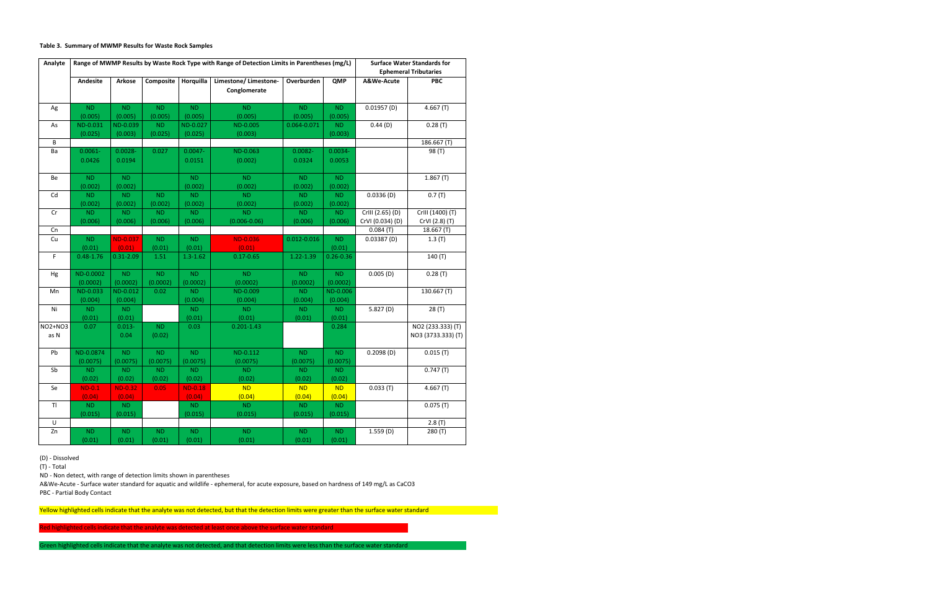#### Table 3. Summary of MWMP Results for Waste Rock Samples

| Analyte         | Range of MWMP Results by Waste Rock Type with Range of Detection Limits in Parentheses (mg/L) |                           |                       |                       |                                      |                       |                       | <b>Surface Water Standards for</b><br><b>Ephemeral Tributaries</b> |                                         |  |
|-----------------|-----------------------------------------------------------------------------------------------|---------------------------|-----------------------|-----------------------|--------------------------------------|-----------------------|-----------------------|--------------------------------------------------------------------|-----------------------------------------|--|
|                 | Andesite                                                                                      | <b>Arkose</b>             | Composite             | Horquilla             | Limestone/Limestone-<br>Conglomerate | Overburden            | QMP                   | A&We-Acute                                                         | <b>PBC</b>                              |  |
| Ag              | ND.<br>(0.005)                                                                                | ND<br>(0.005)             | ND.<br>(0.005)        | <b>ND</b><br>(0.005)  | <b>ND</b><br>(0.005)                 | <b>ND</b><br>(0.005)  | <b>ND</b><br>(0.005)  | 0.01957(D)                                                         | 4.667(T)                                |  |
| As              | ND-0.031<br>(0.025)                                                                           | ND-0.039<br>(0.003)       | <b>ND</b><br>(0.025)  | ND-0.027<br>(0.025)   | ND-0.005<br>(0.003)                  | 0.064-0.071           | <b>ND</b><br>(0.003)  | 0.44(D)                                                            | 0.28(T)                                 |  |
| B               |                                                                                               |                           |                       |                       |                                      |                       |                       |                                                                    | 186.667 (T)                             |  |
| Ba              | $0.0061 -$<br>0.0426                                                                          | $0.0028 -$<br>0.0194      | 0.027                 | $0.0047 -$<br>0.0151  | ND-0.063<br>(0.002)                  | $0.0082 -$<br>0.0324  | $0.0034 -$<br>0.0053  |                                                                    | 98 (T)                                  |  |
| Be              | <b>ND</b><br>(0.002)                                                                          | ND<br>(0.002)             |                       | <b>ND</b><br>(0.002)  | <b>ND</b><br>(0.002)                 | <b>ND</b><br>(0.002)  | <b>ND</b><br>(0.002)  |                                                                    | 1.867(T)                                |  |
| Cd              | <b>ND</b><br>(0.002)                                                                          | <b>ND</b><br>(0.002)      | <b>ND</b><br>(0.002)  | <b>ND</b><br>(0.002)  | <b>ND</b><br>(0.002)                 | <b>ND</b><br>(0.002)  | <b>ND</b><br>(0.002)  | 0.0336(D)                                                          | 0.7(T)                                  |  |
| Cr              | <b>ND</b><br>(0.006)                                                                          | ND<br>(0.006)             | ND<br>(0.006)         | <b>ND</b><br>(0.006)  | <b>ND</b><br>$(0.006 - 0.06)$        | <b>ND</b><br>(0.006)  | <b>ND</b><br>(0.006)  | CrIII (2.65) (D)<br>CrVI (0.034) (D)                               | CrIII (1400) (T)<br>CrVI (2.8) (T)      |  |
| Cn              |                                                                                               |                           |                       |                       |                                      |                       |                       | 0.084(T)                                                           | 18.667 (T)                              |  |
| Cu              | <b>ND</b><br>(0.01)                                                                           | <b>ND-0.037</b><br>(0.01) | ND<br>(0.01)          | <b>ND</b><br>(0.01)   | <b>ND-0.036</b><br>(0.01)            | $0.012 - 0.016$       | <b>ND</b><br>(0.01)   | 0.03387(D)                                                         | 1.3(T)                                  |  |
| F.              | $0.48 - 1.76$                                                                                 | $0.31 - 2.09$             | 1.51                  | $1.3 - 1.62$          | $0.17 - 0.65$                        | 1.22-1.39             | $0.26 - 0.36$         |                                                                    | 140(T)                                  |  |
| Hg              | ND-0.0002<br>(0.0002)                                                                         | ND<br>(0.0002)            | ND<br>(0.0002)        | <b>ND</b><br>(0.0002) | ND<br>(0.0002)                       | <b>ND</b><br>(0.0002) | <b>ND</b><br>(0.0002) | 0.005(D)                                                           | 0.28(T)                                 |  |
| Mn              | ND-0.033<br>(0.004)                                                                           | ND-0.012<br>(0.004)       | 0.02                  | <b>ND</b><br>(0.004)  | ND-0.009<br>(0.004)                  | <b>ND</b><br>(0.004)  | ND-0.006<br>(0.004)   |                                                                    | 130.667 (T)                             |  |
| Ni              | <b>ND</b><br>(0.01)                                                                           | <b>ND</b><br>(0.01)       |                       | <b>ND</b><br>(0.01)   | <b>ND</b><br>(0.01)                  | <b>ND</b><br>(0.01)   | <b>ND</b><br>(0.01)   | 5.827(D)                                                           | 28 (T)                                  |  |
| NO2+NO3<br>as N | 0.07                                                                                          | $0.013 -$<br>0.04         | ND<br>(0.02)          | 0.03                  | $0.201 - 1.43$                       |                       | 0.284                 |                                                                    | NO2 (233.333) (T)<br>NO3 (3733.333) (T) |  |
| Pb              | ND-0.0874<br>(0.0075)                                                                         | <b>ND</b><br>(0.0075)     | <b>ND</b><br>(0.0075) | <b>ND</b><br>(0.0075) | ND-0.112<br>(0.0075)                 | <b>ND</b><br>(0.0075) | <b>ND</b><br>(0.0075) | 0.2098(D)                                                          | 0.015(T)                                |  |
| Sb              | <b>ND</b><br>(0.02)                                                                           | <b>ND</b><br>(0.02)       | <b>ND</b><br>(0.02)   | <b>ND</b><br>(0.02)   | <b>ND</b><br>(0.02)                  | <b>ND</b><br>(0.02)   | <b>ND</b><br>(0.02)   |                                                                    | 0.747(T)                                |  |
| Se              | $ND-0.1$<br>(0.04)                                                                            | <b>ND-0.32</b><br>(0.04)  | 0.05                  | $ND-0.18$<br>(0.04)   | <b>ND</b><br>(0.04)                  | <b>ND</b><br>(0.04)   | <b>ND</b><br>(0.04)   | 0.033(T)                                                           | 4.667(T)                                |  |
| T               | ND.<br>(0.015)                                                                                | <b>ND</b><br>(0.015)      |                       | <b>ND</b><br>(0.015)  | <b>ND</b><br>(0.015)                 | <b>ND</b><br>(0.015)  | <b>ND</b><br>(0.015)  |                                                                    | 0.075(T)                                |  |
| $\sf U$         |                                                                                               |                           |                       |                       |                                      |                       |                       |                                                                    | 2.8(T)                                  |  |
| Zn              | <b>ND</b><br>(0.01)                                                                           | ND<br>(0.01)              | ND<br>(0.01)          | <b>ND</b><br>(0.01)   | <b>ND</b><br>(0.01)                  | <b>ND</b><br>(0.01)   | <b>ND</b><br>(0.01)   | 1.559(D)                                                           | 280(T)                                  |  |

(D) - Dissolved

(T) - Total

ND - Non detect, with range of detection limits shown in parentheses

A&We-Acute - Surface water standard for aquatic and wildlife - ephemeral, for acute exposure, based on hardness of 149 mg/L as CaCO3

PBC - Partial Body Contact

Yellow highlighted cells indicate that the analyte was not detected, but that the detection limits were greater than the surface water standard

Red highlighted cells indicate that the analyte was detected at least once above the surface water standard

Green highlighted cells indicate that the analyte was not detected, and that detection limits were less than the surface water standard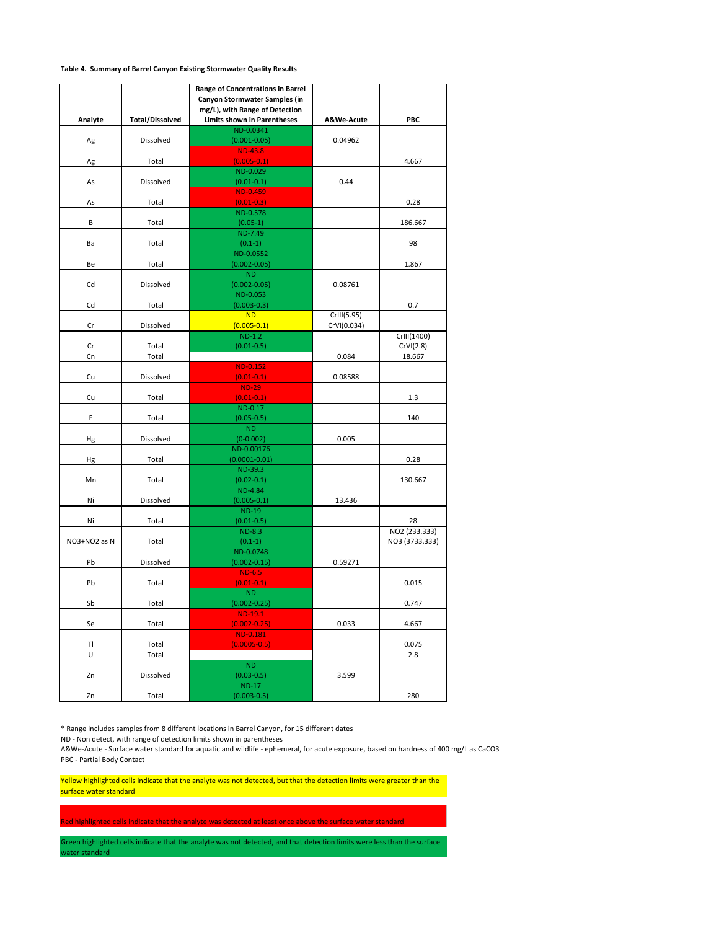#### Table 4. Summary of Barrel Canyon Existing Stormwater Quality Results

| Analyte      | <b>Total/Dissolved</b> | Range of Concentrations in Barrel<br>Canyon Stormwater Samples (in<br>mg/L), with Range of Detection<br><b>Limits shown in Parentheses</b> | A&We-Acute  | PBC            |
|--------------|------------------------|--------------------------------------------------------------------------------------------------------------------------------------------|-------------|----------------|
|              |                        | ND-0.0341                                                                                                                                  |             |                |
| Ag           | Dissolved              | $(0.001 - 0.05)$                                                                                                                           | 0.04962     |                |
|              |                        | <b>ND-43.8</b>                                                                                                                             |             |                |
| Ag           | Total                  | $(0.005 - 0.1)$<br>ND-0.029                                                                                                                |             | 4.667          |
| As           | Dissolved              | $(0.01 - 0.1)$                                                                                                                             | 0.44        |                |
|              |                        | <b>ND-0.459</b>                                                                                                                            |             |                |
| As           | Total                  | $(0.01 - 0.3)$                                                                                                                             |             | 0.28           |
|              |                        | ND-0.578                                                                                                                                   |             |                |
| В            | Total                  | $(0.05-1)$                                                                                                                                 |             | 186.667        |
|              |                        | ND-7.49                                                                                                                                    |             |                |
| Ba           | Total                  | $(0.1-1)$                                                                                                                                  |             | 98             |
|              |                        | ND-0.0552                                                                                                                                  |             |                |
| Be           | Total                  | $(0.002 - 0.05)$<br><b>ND</b>                                                                                                              |             | 1.867          |
| Cd           | Dissolved              | $(0.002 - 0.05)$                                                                                                                           | 0.08761     |                |
|              |                        | ND-0.053                                                                                                                                   |             |                |
| Cd           | Total                  | $(0.003 - 0.3)$                                                                                                                            |             | 0.7            |
|              |                        | <b>ND</b>                                                                                                                                  | CrIII(5.95) |                |
| Cr           | Dissolved              | $(0.005 - 0.1)$                                                                                                                            | CrVI(0.034) |                |
|              |                        | $ND-1.2$                                                                                                                                   |             | CrIII(1400)    |
| Cr           | Total                  | $(0.01 - 0.5)$                                                                                                                             |             | CrVI(2.8)      |
| Cn           | Total                  |                                                                                                                                            | 0.084       | 18.667         |
| Cu           | Dissolved              | <b>ND-0.152</b><br>$(0.01 - 0.1)$                                                                                                          | 0.08588     |                |
|              |                        | <b>ND-29</b>                                                                                                                               |             |                |
| Cu           | Total                  | $(0.01 - 0.1)$                                                                                                                             |             | 1.3            |
|              |                        | ND-0.17                                                                                                                                    |             |                |
| F            | Total                  | $(0.05 - 0.5)$                                                                                                                             |             | 140            |
|              |                        | <b>ND</b>                                                                                                                                  |             |                |
| Hg           | Dissolved              | $(0-0.002)$                                                                                                                                | 0.005       |                |
|              |                        | ND-0.00176                                                                                                                                 |             |                |
| Hg           | Total                  | $(0.0001 - 0.01)$<br>ND-39.3                                                                                                               |             | 0.28           |
| Mn           | Total                  | $(0.02 - 0.1)$                                                                                                                             |             | 130.667        |
|              |                        | ND-4.84                                                                                                                                    |             |                |
| Ni           | Dissolved              | $(0.005 - 0.1)$                                                                                                                            | 13.436      |                |
|              |                        | <b>ND-19</b>                                                                                                                               |             |                |
| Ni           | Total                  | $(0.01 - 0.5)$                                                                                                                             |             | 28             |
|              |                        | $ND-8.3$                                                                                                                                   |             | NO2 (233.333)  |
| NO3+NO2 as N | Total                  | $(0.1-1)$                                                                                                                                  |             | NO3 (3733.333) |
|              |                        | ND-0.0748                                                                                                                                  | 0.59271     |                |
| Pb           | Dissolved              | $(0.002 - 0.15)$<br>$ND-6.5$                                                                                                               |             |                |
| Pb           | Total                  | $(0.01 - 0.1)$                                                                                                                             |             | 0.015          |
|              |                        | ND.                                                                                                                                        |             |                |
| Sb           | Total                  | $(0.002 - 0.25)$                                                                                                                           |             | 0.747          |
|              |                        | $ND-19.1$                                                                                                                                  |             |                |
| Se           | Total                  | $(0.002 - 0.25)$                                                                                                                           | 0.033       | 4.667          |
|              |                        | ND-0.181                                                                                                                                   |             |                |
| TI<br>Ù      | Total<br>Total         | $(0.0005 - 0.5)$                                                                                                                           |             | 0.075<br>2.8   |
|              |                        | <b>ND</b>                                                                                                                                  |             |                |
| Zn           | Dissolved              | $(0.03 - 0.5)$                                                                                                                             | 3.599       |                |
|              |                        | <b>ND-17</b>                                                                                                                               |             |                |
| Zn           | Total                  | $(0.003 - 0.5)$                                                                                                                            |             | 280            |

\* Range includes samples from 8 different locations in Barrel Canyon, for 15 different dates

ND - Non detect, with range of detection limits shown in parentheses

A&We-Acute - Surface water standard for aquatic and wildlife - ephemeral, for acute exposure, based on hardness of 400 mg/L as CaCO3 PBC - Partial Body Contact

Yellow highlighted cells indicate that the analyte was not detected, but that the detection limits were greater than the surface water standard

d highlighted cells indicate that the analyte was detected at least once above the surface water standard

Green highlighted cells indicate that the analyte was not detected, and that detection limits were less than the surface ater standard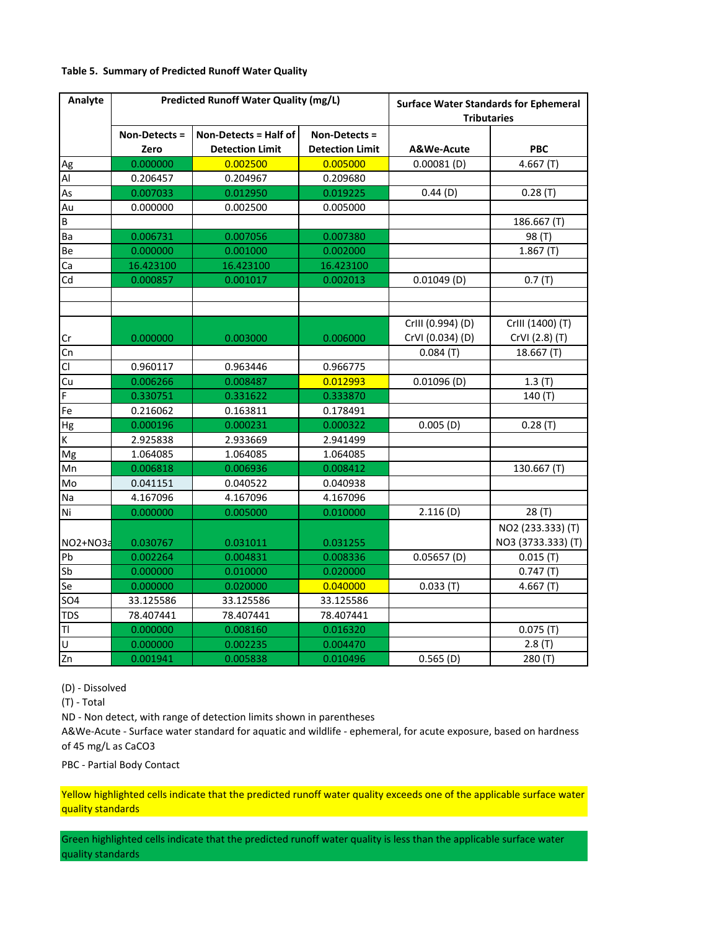#### Table 5. Summary of Predicted Runoff Water Quality

| Analyte                 |               | <b>Predicted Runoff Water Quality (mg/L)</b> |                        | <b>Surface Water Standards for Ephemeral</b><br><b>Tributaries</b> |                    |  |  |
|-------------------------|---------------|----------------------------------------------|------------------------|--------------------------------------------------------------------|--------------------|--|--|
|                         | Non-Detects = | Non-Detects = Half of                        | Non-Detects =          |                                                                    |                    |  |  |
|                         | Zero          | <b>Detection Limit</b>                       | <b>Detection Limit</b> | A&We-Acute                                                         | <b>PBC</b>         |  |  |
| Ag                      | 0.000000      | 0.002500                                     | 0.005000               | $0.00081$ (D)                                                      | 4.667(T)           |  |  |
| $\mathsf{Al}$           | 0.206457      | 0.204967                                     | 0.209680               |                                                                    |                    |  |  |
| As                      | 0.007033      | 0.012950                                     | 0.019225               | 0.44(D)                                                            | 0.28(T)            |  |  |
| Au                      | 0.000000      | 0.002500                                     | 0.005000               |                                                                    |                    |  |  |
| $\sf B$                 |               |                                              |                        |                                                                    | 186.667 (T)        |  |  |
| Ba                      | 0.006731      | 0.007056                                     | 0.007380               |                                                                    | 98 (T)             |  |  |
| Be                      | 0.000000      | 0.001000                                     | 0.002000               |                                                                    | 1.867(T)           |  |  |
| Ca                      | 16.423100     | 16.423100                                    | 16.423100              |                                                                    |                    |  |  |
| Cd                      | 0.000857      | 0.001017                                     | 0.002013               | $0.01049$ (D)                                                      | 0.7(T)             |  |  |
|                         |               |                                              |                        |                                                                    |                    |  |  |
|                         |               |                                              |                        |                                                                    |                    |  |  |
|                         |               |                                              |                        | CrIII (0.994) (D)                                                  | CrIII (1400) (T)   |  |  |
| Cr                      | 0.000000      | 0.003000                                     | 0.006000               | CrVI (0.034) (D)                                                   | CrVI (2.8) (T)     |  |  |
| Cn                      |               |                                              |                        | 0.084(T)                                                           | 18.667(T)          |  |  |
| $\overline{\mathsf{C}}$ | 0.960117      | 0.963446                                     | 0.966775               |                                                                    |                    |  |  |
| Cu                      | 0.006266      | 0.008487                                     | 0.012993               | $0.01096$ (D)                                                      | 1.3(T)             |  |  |
| F                       | 0.330751      | 0.331622                                     | 0.333870               |                                                                    | 140 (T)            |  |  |
| Fe                      | 0.216062      | 0.163811                                     | 0.178491               |                                                                    |                    |  |  |
| Hg                      | 0.000196      | 0.000231                                     | 0.000322               | $0.005$ (D)                                                        | 0.28(T)            |  |  |
| K                       | 2.925838      | 2.933669                                     | 2.941499               |                                                                    |                    |  |  |
| Mg                      | 1.064085      | 1.064085                                     | 1.064085               |                                                                    |                    |  |  |
| Mn                      | 0.006818      | 0.006936                                     | 0.008412               |                                                                    | 130.667 (T)        |  |  |
| Mo                      | 0.041151      | 0.040522                                     | 0.040938               |                                                                    |                    |  |  |
| Na                      | 4.167096      | 4.167096                                     | 4.167096               |                                                                    |                    |  |  |
| Ni                      | 0.000000      | 0.005000                                     | 0.010000               | 2.116(D)                                                           | 28 (T)             |  |  |
|                         |               |                                              |                        |                                                                    | NO2 (233.333) (T)  |  |  |
| NO2+NO3a                | 0.030767      | 0.031011                                     | 0.031255               |                                                                    | NO3 (3733.333) (T) |  |  |
| Pb                      | 0.002264      | 0.004831                                     | 0.008336               | 0.05657(D)                                                         | 0.015(T)           |  |  |
| Sb                      | 0.000000      | 0.010000                                     | 0.020000               |                                                                    | 0.747(T)           |  |  |
| Se                      | 0.000000      | 0.020000                                     | 0.040000               | 0.033(T)                                                           | 4.667(T)           |  |  |
| <b>SO4</b>              | 33.125586     | 33.125586                                    | 33.125586              |                                                                    |                    |  |  |
| <b>TDS</b>              | 78.407441     | 78.407441                                    | 78.407441              |                                                                    |                    |  |  |
| TI                      | 0.000000      | 0.008160                                     | 0.016320               |                                                                    | 0.075(T)           |  |  |
| $\overline{\mathsf{U}}$ | 0.000000      | 0.002235                                     | 0.004470               |                                                                    | 2.8(T)             |  |  |
| $\overline{z}$ n        | 0.001941      | 0.005838                                     | 0.010496               | $0.565$ (D)                                                        | 280 (T)            |  |  |

(D) - Dissolved

(T) - Total

ND - Non detect, with range of detection limits shown in parentheses

A&We-Acute - Surface water standard for aquatic and wildlife - ephemeral, for acute exposure, based on hardness of 45 mg/L as CaCO3

PBC - Partial Body Contact

Yellow highlighted cells indicate that the predicted runoff water quality exceeds one of the applicable surface water quality standards

Green highlighted cells indicate that the predicted runoff water quality is less than the applicable surface water quality standards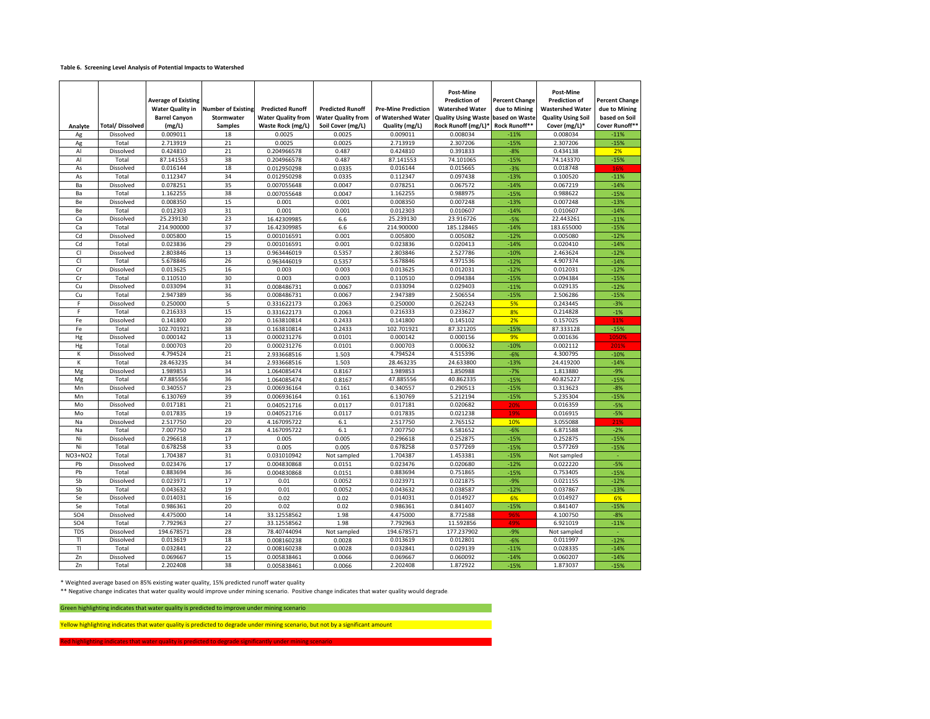#### Table 6. Screening Level Analysis of Potential Impacts to Watershed

|                 |                        | <b>Average of Existing</b><br><b>Water Quality in</b><br><b>Barrel Canyon</b> | <b>Number of Existing</b><br>Stormwater | <b>Predicted Runoff</b><br><b>Water Quality from</b> | <b>Predicted Runoff</b><br><b>Water Quality from</b> | <b>Pre-Mine Prediction</b><br>of Watershed Water | Post-Mine<br><b>Prediction of</b><br><b>Watershed Water</b><br><b>Quality Using Waste</b> | Percent Change<br>due to Mining<br>based on Waste | Post-Mine<br><b>Prediction of</b><br><b>Wastershed Water</b><br><b>Quality Using Soil</b> | <b>Percent Change</b><br>due to Mining<br>based on Soil |
|-----------------|------------------------|-------------------------------------------------------------------------------|-----------------------------------------|------------------------------------------------------|------------------------------------------------------|--------------------------------------------------|-------------------------------------------------------------------------------------------|---------------------------------------------------|-------------------------------------------------------------------------------------------|---------------------------------------------------------|
| Analyte         | <b>Total/Dissolved</b> | (mg/L)                                                                        | <b>Samples</b>                          | Waste Rock (mg/L)                                    | Soil Cover (mg/L)                                    | Quality (mg/L)                                   | Rock Runoff (mg/L)*                                                                       | Rock Runoff**                                     | Cover (mg/L)*                                                                             | Cover Runoff*                                           |
| Ag              | Dissolved              | 0.009011                                                                      | 18                                      | 0.0025                                               | 0.0025                                               | 0.009011                                         | 0.008034                                                                                  | $-11%$                                            | 0.008034                                                                                  | $-11%$                                                  |
| Ag              | Total                  | 2.713919                                                                      | 21                                      | 0.0025                                               | 0.0025                                               | 2.713919                                         | 2.307206                                                                                  | $-15%$                                            | 2.307206                                                                                  | $-15%$                                                  |
| Al              | Dissolved              | 0.424810                                                                      | 21                                      | 0.204966578                                          | 0.487                                                | 0.424810                                         | 0.391833                                                                                  | $-8%$                                             | 0.434138                                                                                  | 2%                                                      |
| Al              | Total                  | 87.141553                                                                     | 38                                      | 0.204966578                                          | 0.487                                                | 87.141553                                        | 74.101065                                                                                 | $-15%$                                            | 74.143370                                                                                 | $-15%$                                                  |
| As              | Dissolved              | 0.016144                                                                      | 18                                      | 0.012950298                                          | 0.0335                                               | 0.016144                                         | 0.015665                                                                                  | $-3%$                                             | 0.018748                                                                                  | 16%                                                     |
| As              | Total                  | 0.112347                                                                      | 34                                      | 0.012950298                                          | 0.0335                                               | 0.112347                                         | 0.097438                                                                                  | $-13%$                                            | 0.100520                                                                                  | $-11%$                                                  |
| Ba              | Dissolved              | 0.078251                                                                      | 35                                      | 0.007055648                                          | 0.0047                                               | 0.078251                                         | 0.067572                                                                                  | $-14%$                                            | 0.067219                                                                                  | $-14%$                                                  |
| Ba              | Total                  | 1.162255                                                                      | 38                                      | 0.007055648                                          | 0.0047                                               | 1.162255                                         | 0.988975                                                                                  | $-15%$                                            | 0.988622                                                                                  | $-15%$                                                  |
| Be              | Dissolved              | 0.008350                                                                      | 15                                      | 0.001                                                | 0.001                                                | 0.008350                                         | 0.007248                                                                                  | $-13%$                                            | 0.007248                                                                                  | $-13%$                                                  |
| Be              | Total                  | 0.012303                                                                      | 31                                      | 0.001                                                | 0.001                                                | 0.012303                                         | 0.010607                                                                                  | $-14%$                                            | 0.010607                                                                                  | $-14%$                                                  |
| Ca              | Dissolved              | 25.239130                                                                     | 23                                      | 16.42309985                                          | 6.6                                                  | 25.239130                                        | 23.916726                                                                                 | $-5%$                                             | 22.443261                                                                                 | $-11%$                                                  |
| Ca              | Total                  | 214.900000                                                                    | 37                                      | 16.42309985                                          | 6.6                                                  | 214.900000                                       | 185.128465                                                                                | $-14%$                                            | 183.655000                                                                                | $-15%$                                                  |
| Cd              | Dissolved              | 0.005800                                                                      | 15                                      | 0.001016591                                          | 0.001                                                | 0.005800                                         | 0.005082                                                                                  | $-12%$                                            | 0.005080                                                                                  | $-12%$                                                  |
| Cd              | Total                  | 0.023836                                                                      | 29                                      | 0.001016591                                          | 0.001                                                | 0.023836                                         | 0.020413                                                                                  | $-14%$                                            | 0.020410                                                                                  | $-14%$                                                  |
| CI              | Dissolved              | 2.803846                                                                      | 13                                      | 0.963446019                                          | 0.5357                                               | 2.803846                                         | 2.527786                                                                                  | $-10%$                                            | 2.463624                                                                                  | $-12%$                                                  |
| CI              | Total                  | 5.678846                                                                      | 26                                      | 0.963446019                                          | 0.5357                                               | 5.678846                                         | 4.971536                                                                                  | $-12%$                                            | 4.907374                                                                                  | $-14%$                                                  |
| Cr              | Dissolved              | 0.013625                                                                      | 16                                      | 0.003                                                | 0.003                                                | 0.013625                                         | 0.012031                                                                                  | $-12%$                                            | 0.012031                                                                                  | $-12%$                                                  |
| Cr              | Total                  | 0.110510                                                                      | 30                                      | 0.003                                                | 0.003                                                | 0.110510                                         | 0.094384                                                                                  | $-15%$                                            | 0.094384                                                                                  | $-15%$                                                  |
| Cu              | Dissolved              | 0.033094                                                                      | 31                                      | 0.008486731                                          | 0.0067                                               | 0.033094                                         | 0.029403                                                                                  | $-11%$                                            | 0.029135                                                                                  | $-12%$                                                  |
| Cu              | Total                  | 2.947389                                                                      | 36                                      | 0.008486731                                          | 0.0067                                               | 2.947389                                         | 2.506554                                                                                  | $-15%$                                            | 2.506286                                                                                  | $-15%$                                                  |
| F               | Dissolved              | 0.250000                                                                      | 5                                       |                                                      |                                                      | 0.250000                                         | 0.262243                                                                                  |                                                   | 0.243445                                                                                  |                                                         |
| F               |                        |                                                                               | 15                                      | 0.331622173                                          | 0.2063                                               | 0.216333                                         | 0.233627                                                                                  | 5%                                                |                                                                                           | $-3%$<br>$-1%$                                          |
|                 | Total                  | 0.216333                                                                      | 20                                      | 0.331622173                                          | 0.2063                                               |                                                  |                                                                                           | 8%                                                | 0.214828                                                                                  |                                                         |
| Fe              | Dissolved              | 0.141800                                                                      |                                         | 0.163810814                                          | 0.2433                                               | 0.141800                                         | 0.145102                                                                                  | 2%                                                | 0.157025                                                                                  | 11%                                                     |
| Fe              | Total                  | 102.701921                                                                    | 38                                      | 0.163810814                                          | 0.2433                                               | 102.701921                                       | 87.321205                                                                                 | $-15%$                                            | 87.333128                                                                                 | $-15%$                                                  |
| Hg              | Dissolved              | 0.000142                                                                      | 13<br>20                                | 0.000231276                                          | 0.0101                                               | 0.000142                                         | 0.000156                                                                                  | 9%                                                | 0.001636                                                                                  | 1050%                                                   |
| Hg              | Total                  | 0.000703                                                                      |                                         | 0.000231276                                          | 0.0101                                               | 0.000703                                         | 0.000632                                                                                  | $-10%$                                            | 0.002112                                                                                  | 201%                                                    |
| К               | Dissolved              | 4.794524                                                                      | 21                                      | 2.933668516                                          | 1.503                                                | 4.794524                                         | 4.515396                                                                                  | $-6%$                                             | 4.300795                                                                                  | $-10%$                                                  |
| К               | Total                  | 28.463235                                                                     | 34                                      | 2.933668516                                          | 1.503                                                | 28.463235                                        | 24.633800                                                                                 | $-13%$                                            | 24.419200                                                                                 | $-14%$                                                  |
| Mg              | Dissolved              | 1.989853                                                                      | 34                                      | 1.064085474                                          | 0.8167                                               | 1.989853                                         | 1.850988                                                                                  | $-7%$                                             | 1.813880                                                                                  | $-9%$                                                   |
| Mg              | Total                  | 47.885556                                                                     | 36                                      | 1.064085474                                          | 0.8167                                               | 47.885556                                        | 40.862335                                                                                 | $-15%$                                            | 40.825227                                                                                 | $-15%$                                                  |
| Mn              | Dissolved              | 0.340557                                                                      | 23                                      | 0.006936164                                          | 0.161                                                | 0.340557                                         | 0.290513                                                                                  | $-15%$                                            | 0.313623                                                                                  | $-8%$                                                   |
| Mn              | Total                  | 6.130769                                                                      | 39                                      | 0.006936164                                          | 0.161                                                | 6.130769                                         | 5.212194                                                                                  | $-15%$                                            | 5.235304                                                                                  | $-15%$                                                  |
| Mo              | Dissolved              | 0.017181                                                                      | 21                                      | 0.040521716                                          | 0.0117                                               | 0.017181                                         | 0.020682                                                                                  | 20%                                               | 0.016359                                                                                  | $-5%$                                                   |
| Mo              | Total                  | 0.017835                                                                      | 19                                      | 0.040521716                                          | 0.0117                                               | 0.017835                                         | 0.021238                                                                                  | 19%                                               | 0.016915                                                                                  | $-5%$                                                   |
| Na              | Dissolved              | 2.517750                                                                      | 20                                      | 4.167095722                                          | 6.1                                                  | 2.517750                                         | 2.765152                                                                                  | 10%                                               | 3.055088                                                                                  | 21%                                                     |
| Na              | Total                  | 7.007750                                                                      | 28                                      | 4.167095722                                          | 6.1                                                  | 7.007750                                         | 6.581652                                                                                  | $-6%$                                             | 6.871588                                                                                  | $-2%$                                                   |
| Ni              | Dissolved              | 0.296618                                                                      | 17                                      | 0.005                                                | 0.005                                                | 0.296618                                         | 0.252875                                                                                  | $-15%$                                            | 0.252875                                                                                  | $-15%$                                                  |
| Ni              | Total                  | 0.678258                                                                      | 33                                      | 0.005                                                | 0.005                                                | 0.678258                                         | 0.577269                                                                                  | $-15%$                                            | 0.577269                                                                                  | $-15%$                                                  |
| NO3+NO2         | Total                  | 1.704387                                                                      | 31                                      | 0.031010942                                          | Not sampled                                          | 1.704387                                         | 1.453381                                                                                  | $-15%$                                            | Not sampled                                                                               | ÷.                                                      |
| Pb              | Dissolved              | 0.023476                                                                      | 17                                      | 0.004830868                                          | 0.0151                                               | 0.023476                                         | 0.020680                                                                                  | $-12%$                                            | 0.022220                                                                                  | $-5%$                                                   |
| Pb              | Total                  | 0.883694                                                                      | 36                                      | 0.004830868                                          | 0.0151                                               | 0.883694                                         | 0.751865                                                                                  | $-15%$                                            | 0.753405                                                                                  | $-15%$                                                  |
| Sb              | Dissolved              | 0.023971                                                                      | 17                                      | 0.01                                                 | 0.0052                                               | 0.023971                                         | 0.021875                                                                                  | $-9%$                                             | 0.021155                                                                                  | $-12%$                                                  |
| Sb              | Total                  | 0.043632                                                                      | 19                                      | 0.01                                                 | 0.0052                                               | 0.043632                                         | 0.038587                                                                                  | $-12%$                                            | 0.037867                                                                                  | $-13%$                                                  |
| Se              | Dissolved              | 0.014031                                                                      | 16                                      | 0.02                                                 | 0.02                                                 | 0.014031                                         | 0.014927                                                                                  | 6%                                                | 0.014927                                                                                  | 6%                                                      |
| Se              | Total                  | 0.986361                                                                      | 20                                      | 0.02                                                 | 0.02                                                 | 0.986361                                         | 0.841407                                                                                  | $-15%$                                            | 0.841407                                                                                  | $-15%$                                                  |
| SO <sub>4</sub> | Dissolved              | 4.475000                                                                      | 14                                      | 33.12558562                                          | 1.98                                                 | 4.475000                                         | 8.772588                                                                                  | 96%                                               | 4.100750                                                                                  | $-8%$                                                   |
| <b>SO4</b>      | Total                  | 7.792963                                                                      | 27                                      | 33.12558562                                          | 1.98                                                 | 7.792963                                         | 11.592856                                                                                 | 49%                                               | 6.921019                                                                                  | $-11%$                                                  |
| <b>TDS</b>      | Dissolved              | 194.678571                                                                    | 28                                      | 78.40744094                                          | Not sampled                                          | 194.678571                                       | 177.237902                                                                                | $-9%$                                             | Not sampled                                                                               |                                                         |
| TI              | Dissolved              | 0.013619                                                                      | 18                                      | 0.008160238                                          | 0.0028                                               | 0.013619                                         | 0.012801                                                                                  | $-6%$                                             | 0.011997                                                                                  | $-12%$                                                  |
| TI              | Total                  | 0.032841                                                                      | 22                                      | 0.008160238                                          | 0.0028                                               | 0.032841                                         | 0.029139                                                                                  | $-11%$                                            | 0.028335                                                                                  | $-14%$                                                  |
| Zn              | Dissolved              | 0.069667                                                                      | 15                                      | 0.005838461                                          | 0.0066                                               | 0.069667                                         | 0.060092                                                                                  | $-14%$                                            | 0.060207                                                                                  | $-14%$                                                  |
| Zn              | Total                  | 2.202408                                                                      | 38                                      | 0.005838461                                          | 0.0066                                               | 2.202408                                         | 1.872922                                                                                  | $-15%$                                            | 1.873037                                                                                  | $-15%$                                                  |

\* Weighted average based on 85% existing water quality, 15% predicted runoff water quality

\*\* Negative change indicates that water quality would improve under mining scenario. Positive change indicates that water quality would degrade.

Green highlighting indicates that water quality is predicted to improve under mining scenario

Yellow highlighting indicates that water quality is predicted to degrade under mining scenario, but not by a significant amount

that water quality is predicted to degrade significant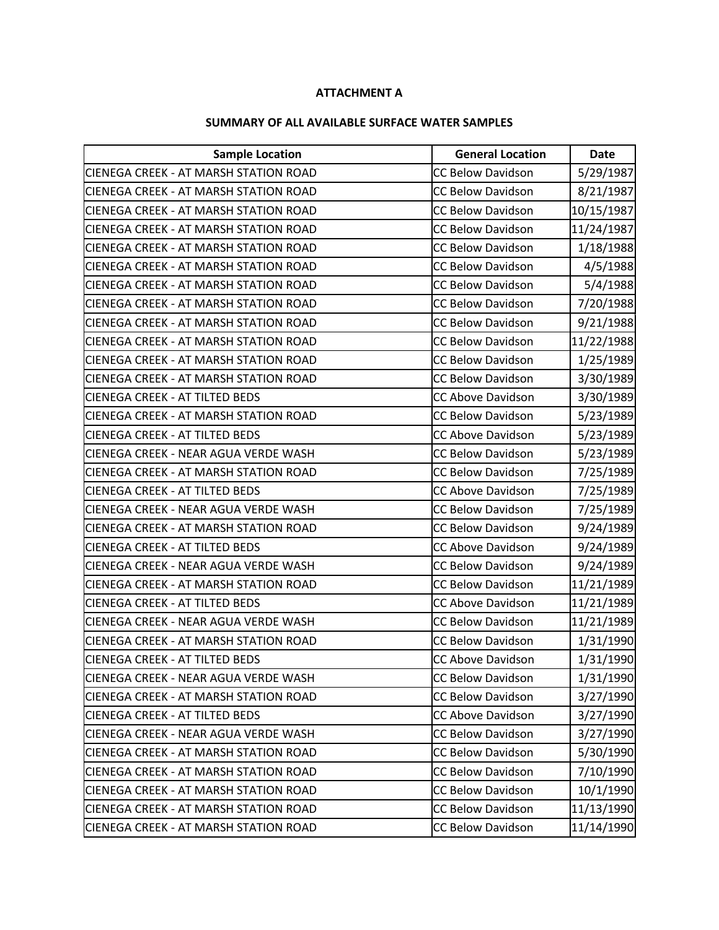### ATTACHMENT A

#### SUMMARY OF ALL AVAILABLE SURFACE WATER SAMPLES

| <b>Sample Location</b>                       | <b>General Location</b>  | <b>Date</b> |
|----------------------------------------------|--------------------------|-------------|
| <b>CIENEGA CREEK - AT MARSH STATION ROAD</b> | <b>CC Below Davidson</b> | 5/29/1987   |
| <b>CIENEGA CREEK - AT MARSH STATION ROAD</b> | <b>CC Below Davidson</b> | 8/21/1987   |
| <b>CIENEGA CREEK - AT MARSH STATION ROAD</b> | <b>CC Below Davidson</b> | 10/15/1987  |
| <b>CIENEGA CREEK - AT MARSH STATION ROAD</b> | <b>CC Below Davidson</b> | 11/24/1987  |
| <b>CIENEGA CREEK - AT MARSH STATION ROAD</b> | <b>CC Below Davidson</b> | 1/18/1988   |
| <b>CIENEGA CREEK - AT MARSH STATION ROAD</b> | <b>CC Below Davidson</b> | 4/5/1988    |
| <b>CIENEGA CREEK - AT MARSH STATION ROAD</b> | <b>CC Below Davidson</b> | 5/4/1988    |
| <b>CIENEGA CREEK - AT MARSH STATION ROAD</b> | <b>CC Below Davidson</b> | 7/20/1988   |
| <b>CIENEGA CREEK - AT MARSH STATION ROAD</b> | <b>CC Below Davidson</b> | 9/21/1988   |
| <b>CIENEGA CREEK - AT MARSH STATION ROAD</b> | <b>CC Below Davidson</b> | 11/22/1988  |
| <b>CIENEGA CREEK - AT MARSH STATION ROAD</b> | <b>CC Below Davidson</b> | 1/25/1989   |
| <b>CIENEGA CREEK - AT MARSH STATION ROAD</b> | <b>CC Below Davidson</b> | 3/30/1989   |
| <b>CIENEGA CREEK - AT TILTED BEDS</b>        | <b>CC Above Davidson</b> | 3/30/1989   |
| <b>CIENEGA CREEK - AT MARSH STATION ROAD</b> | <b>CC Below Davidson</b> | 5/23/1989   |
| <b>CIENEGA CREEK - AT TILTED BEDS</b>        | <b>CC Above Davidson</b> | 5/23/1989   |
| CIENEGA CREEK - NEAR AGUA VERDE WASH         | <b>CC Below Davidson</b> | 5/23/1989   |
| <b>CIENEGA CREEK - AT MARSH STATION ROAD</b> | <b>CC Below Davidson</b> | 7/25/1989   |
| <b>CIENEGA CREEK - AT TILTED BEDS</b>        | <b>CC Above Davidson</b> | 7/25/1989   |
| CIENEGA CREEK - NEAR AGUA VERDE WASH         | <b>CC Below Davidson</b> | 7/25/1989   |
| <b>CIENEGA CREEK - AT MARSH STATION ROAD</b> | <b>CC Below Davidson</b> | 9/24/1989   |
| <b>CIENEGA CREEK - AT TILTED BEDS</b>        | <b>CC Above Davidson</b> | 9/24/1989   |
| CIENEGA CREEK - NEAR AGUA VERDE WASH         | <b>CC Below Davidson</b> | 9/24/1989   |
| <b>CIENEGA CREEK - AT MARSH STATION ROAD</b> | <b>CC Below Davidson</b> | 11/21/1989  |
| <b>CIENEGA CREEK - AT TILTED BEDS</b>        | <b>CC Above Davidson</b> | 11/21/1989  |
| CIENEGA CREEK - NEAR AGUA VERDE WASH         | <b>CC Below Davidson</b> | 11/21/1989  |
| <b>CIENEGA CREEK - AT MARSH STATION ROAD</b> | <b>CC Below Davidson</b> | 1/31/1990   |
| <b>CIENEGA CREEK - AT TILTED BEDS</b>        | <b>CC Above Davidson</b> | 1/31/1990   |
| CIENEGA CREEK - NEAR AGUA VERDE WASH         | <b>CC Below Davidson</b> | 1/31/1990   |
| <b>CIENEGA CREEK - AT MARSH STATION ROAD</b> | <b>CC Below Davidson</b> | 3/27/1990   |
| <b>CIENEGA CREEK - AT TILTED BEDS</b>        | <b>CC Above Davidson</b> | 3/27/1990   |
| CIENEGA CREEK - NEAR AGUA VERDE WASH         | <b>CC Below Davidson</b> | 3/27/1990   |
| <b>CIENEGA CREEK - AT MARSH STATION ROAD</b> | <b>CC Below Davidson</b> | 5/30/1990   |
| ICIENEGA CREEK - AT MARSH STATION ROAD       | <b>CC Below Davidson</b> | 7/10/1990   |
| <b>CIENEGA CREEK - AT MARSH STATION ROAD</b> | <b>CC Below Davidson</b> | 10/1/1990   |
| CIENEGA CREEK - AT MARSH STATION ROAD        | <b>CC Below Davidson</b> | 11/13/1990  |
| CIENEGA CREEK - AT MARSH STATION ROAD        | <b>CC Below Davidson</b> | 11/14/1990  |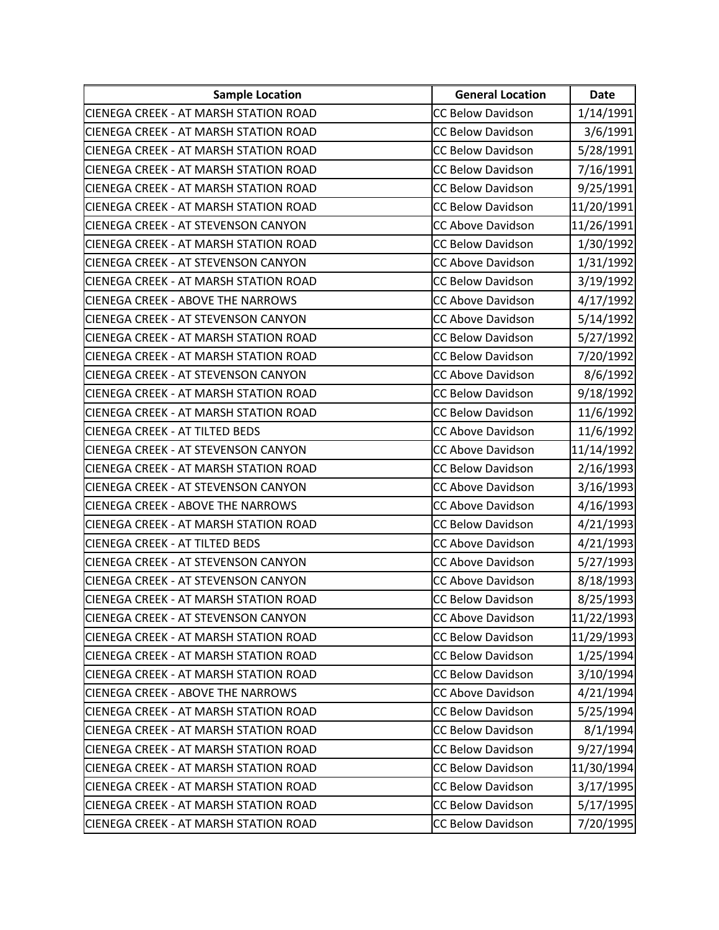| <b>Sample Location</b>                       | <b>General Location</b>  | <b>Date</b> |
|----------------------------------------------|--------------------------|-------------|
| <b>CIENEGA CREEK - AT MARSH STATION ROAD</b> | <b>CC Below Davidson</b> | 1/14/1991   |
| <b>CIENEGA CREEK - AT MARSH STATION ROAD</b> | <b>CC Below Davidson</b> | 3/6/1991    |
| <b>CIENEGA CREEK - AT MARSH STATION ROAD</b> | <b>CC Below Davidson</b> | 5/28/1991   |
| <b>CIENEGA CREEK - AT MARSH STATION ROAD</b> | <b>CC Below Davidson</b> | 7/16/1991   |
| <b>CIENEGA CREEK - AT MARSH STATION ROAD</b> | <b>CC Below Davidson</b> | 9/25/1991   |
| <b>CIENEGA CREEK - AT MARSH STATION ROAD</b> | <b>CC Below Davidson</b> | 11/20/1991  |
| <b>CIENEGA CREEK - AT STEVENSON CANYON</b>   | <b>CC Above Davidson</b> | 11/26/1991  |
| <b>CIENEGA CREEK - AT MARSH STATION ROAD</b> | <b>CC Below Davidson</b> | 1/30/1992   |
| <b>CIENEGA CREEK - AT STEVENSON CANYON</b>   | <b>CC Above Davidson</b> | 1/31/1992   |
| <b>CIENEGA CREEK - AT MARSH STATION ROAD</b> | <b>CC Below Davidson</b> | 3/19/1992   |
| <b>CIENEGA CREEK - ABOVE THE NARROWS</b>     | <b>CC Above Davidson</b> | 4/17/1992   |
| <b>CIENEGA CREEK - AT STEVENSON CANYON</b>   | <b>CC Above Davidson</b> | 5/14/1992   |
| <b>CIENEGA CREEK - AT MARSH STATION ROAD</b> | <b>CC Below Davidson</b> | 5/27/1992   |
| <b>CIENEGA CREEK - AT MARSH STATION ROAD</b> | <b>CC Below Davidson</b> | 7/20/1992   |
| <b>CIENEGA CREEK - AT STEVENSON CANYON</b>   | <b>CC Above Davidson</b> | 8/6/1992    |
| <b>CIENEGA CREEK - AT MARSH STATION ROAD</b> | <b>CC Below Davidson</b> | 9/18/1992   |
| <b>CIENEGA CREEK - AT MARSH STATION ROAD</b> | <b>CC Below Davidson</b> | 11/6/1992   |
| <b>CIENEGA CREEK - AT TILTED BEDS</b>        | <b>CC Above Davidson</b> | 11/6/1992   |
| CIENEGA CREEK - AT STEVENSON CANYON          | <b>CC Above Davidson</b> | 11/14/1992  |
| <b>CIENEGA CREEK - AT MARSH STATION ROAD</b> | <b>CC Below Davidson</b> | 2/16/1993   |
| <b>CIENEGA CREEK - AT STEVENSON CANYON</b>   | <b>CC Above Davidson</b> | 3/16/1993   |
| <b>CIENEGA CREEK - ABOVE THE NARROWS</b>     | <b>CC Above Davidson</b> | 4/16/1993   |
| <b>CIENEGA CREEK - AT MARSH STATION ROAD</b> | <b>CC Below Davidson</b> | 4/21/1993   |
| <b>CIENEGA CREEK - AT TILTED BEDS</b>        | <b>CC Above Davidson</b> | 4/21/1993   |
| CIENEGA CREEK - AT STEVENSON CANYON          | <b>CC Above Davidson</b> | 5/27/1993   |
| <b>CIENEGA CREEK - AT STEVENSON CANYON</b>   | <b>CC Above Davidson</b> | 8/18/1993   |
| <b>CIENEGA CREEK - AT MARSH STATION ROAD</b> | <b>CC Below Davidson</b> | 8/25/1993   |
| <b>CIENEGA CREEK - AT STEVENSON CANYON</b>   | <b>CC Above Davidson</b> | 11/22/1993  |
| <b>CIENEGA CREEK - AT MARSH STATION ROAD</b> | <b>CC Below Davidson</b> | 11/29/1993  |
| <b>CIENEGA CREEK - AT MARSH STATION ROAD</b> | <b>CC Below Davidson</b> | 1/25/1994   |
| <b>CIENEGA CREEK - AT MARSH STATION ROAD</b> | <b>CC Below Davidson</b> | 3/10/1994   |
| <b>CIENEGA CREEK - ABOVE THE NARROWS</b>     | <b>CC Above Davidson</b> | 4/21/1994   |
| CIENEGA CREEK - AT MARSH STATION ROAD        | <b>CC Below Davidson</b> | 5/25/1994   |
| <b>CIENEGA CREEK - AT MARSH STATION ROAD</b> | <b>CC Below Davidson</b> | 8/1/1994    |
| ICIENEGA CREEK - AT MARSH STATION ROAD       | <b>CC Below Davidson</b> | 9/27/1994   |
| CIENEGA CREEK - AT MARSH STATION ROAD        | <b>CC Below Davidson</b> | 11/30/1994  |
| <b>CIENEGA CREEK - AT MARSH STATION ROAD</b> | <b>CC Below Davidson</b> | 3/17/1995   |
| CIENEGA CREEK - AT MARSH STATION ROAD        | <b>CC Below Davidson</b> | 5/17/1995   |
| <b>CIENEGA CREEK - AT MARSH STATION ROAD</b> | <b>CC Below Davidson</b> | 7/20/1995   |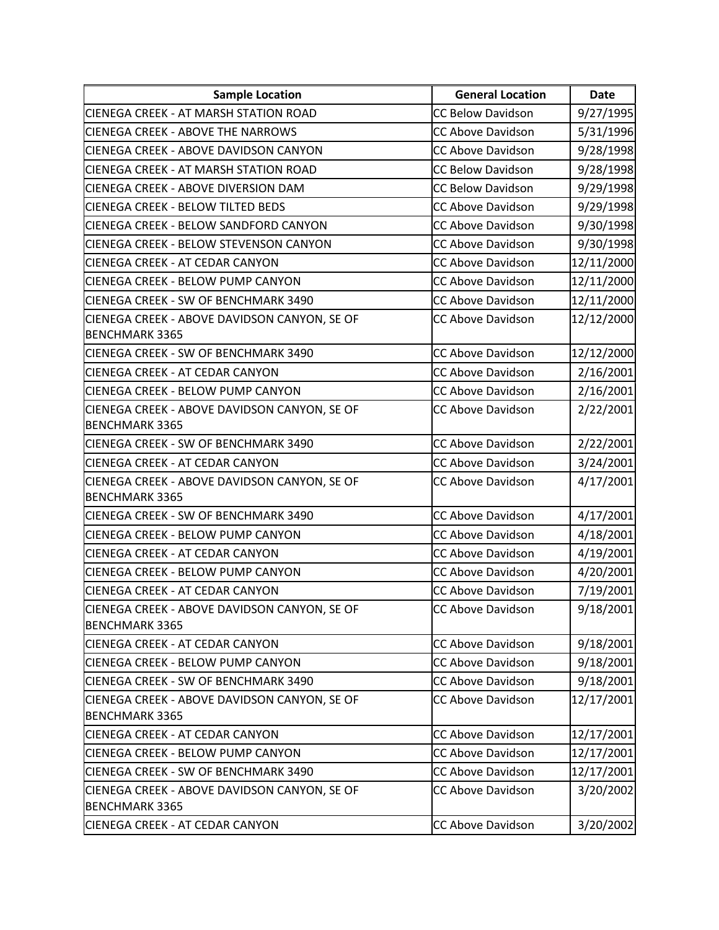| <b>Sample Location</b>                                                | <b>General Location</b>  | <b>Date</b> |
|-----------------------------------------------------------------------|--------------------------|-------------|
| <b>CIENEGA CREEK - AT MARSH STATION ROAD</b>                          | <b>CC Below Davidson</b> | 9/27/1995   |
| <b>CIENEGA CREEK - ABOVE THE NARROWS</b>                              | <b>CC Above Davidson</b> | 5/31/1996   |
| <b>CIENEGA CREEK - ABOVE DAVIDSON CANYON</b>                          | <b>CC Above Davidson</b> | 9/28/1998   |
| <b>CIENEGA CREEK - AT MARSH STATION ROAD</b>                          | <b>CC Below Davidson</b> | 9/28/1998   |
| <b>CIENEGA CREEK - ABOVE DIVERSION DAM</b>                            | <b>CC Below Davidson</b> | 9/29/1998   |
| <b>CIENEGA CREEK - BELOW TILTED BEDS</b>                              | <b>CC Above Davidson</b> | 9/29/1998   |
| CIENEGA CREEK - BELOW SANDFORD CANYON                                 | <b>CC Above Davidson</b> | 9/30/1998   |
| <b>CIENEGA CREEK - BELOW STEVENSON CANYON</b>                         | <b>CC Above Davidson</b> | 9/30/1998   |
| <b>CIENEGA CREEK - AT CEDAR CANYON</b>                                | <b>CC Above Davidson</b> | 12/11/2000  |
| <b>CIENEGA CREEK - BELOW PUMP CANYON</b>                              | <b>CC Above Davidson</b> | 12/11/2000  |
| CIENEGA CREEK - SW OF BENCHMARK 3490                                  | <b>CC Above Davidson</b> | 12/11/2000  |
| CIENEGA CREEK - ABOVE DAVIDSON CANYON, SE OF                          | <b>CC Above Davidson</b> | 12/12/2000  |
| <b>BENCHMARK 3365</b>                                                 |                          |             |
| CIENEGA CREEK - SW OF BENCHMARK 3490                                  | <b>CC Above Davidson</b> | 12/12/2000  |
| <b>CIENEGA CREEK - AT CEDAR CANYON</b>                                | <b>CC Above Davidson</b> | 2/16/2001   |
| CIENEGA CREEK - BELOW PUMP CANYON                                     | <b>CC Above Davidson</b> | 2/16/2001   |
| CIENEGA CREEK - ABOVE DAVIDSON CANYON, SE OF                          | <b>CC Above Davidson</b> | 2/22/2001   |
| <b>BENCHMARK 3365</b>                                                 |                          |             |
| CIENEGA CREEK - SW OF BENCHMARK 3490                                  | <b>CC Above Davidson</b> | 2/22/2001   |
| <b>CIENEGA CREEK - AT CEDAR CANYON</b>                                | <b>CC Above Davidson</b> | 3/24/2001   |
| CIENEGA CREEK - ABOVE DAVIDSON CANYON, SE OF                          | <b>CC Above Davidson</b> | 4/17/2001   |
| <b>BENCHMARK 3365</b>                                                 |                          |             |
| CIENEGA CREEK - SW OF BENCHMARK 3490                                  | <b>CC Above Davidson</b> | 4/17/2001   |
| <b>CIENEGA CREEK - BELOW PUMP CANYON</b>                              | <b>CC Above Davidson</b> | 4/18/2001   |
| <b>CIENEGA CREEK - AT CEDAR CANYON</b>                                | <b>CC Above Davidson</b> | 4/19/2001   |
| <b>CIENEGA CREEK - BELOW PUMP CANYON</b>                              | <b>CC Above Davidson</b> | 4/20/2001   |
| <b>CIENEGA CREEK - AT CEDAR CANYON</b>                                | <b>CC Above Davidson</b> | 7/19/2001   |
| CIENEGA CREEK - ABOVE DAVIDSON CANYON, SE OF                          | CC Above Davidson        | 9/18/2001   |
| <b>BENCHMARK 3365</b>                                                 |                          |             |
| <b>CIENEGA CREEK - AT CEDAR CANYON</b>                                | <b>CC Above Davidson</b> | 9/18/2001   |
| <b>CIENEGA CREEK - BELOW PUMP CANYON</b>                              | <b>CC Above Davidson</b> | 9/18/2001   |
| CIENEGA CREEK - SW OF BENCHMARK 3490                                  | <b>CC Above Davidson</b> | 9/18/2001   |
| CIENEGA CREEK - ABOVE DAVIDSON CANYON, SE OF<br><b>BENCHMARK 3365</b> | <b>CC Above Davidson</b> | 12/17/2001  |
| <b>CIENEGA CREEK - AT CEDAR CANYON</b>                                | <b>CC Above Davidson</b> | 12/17/2001  |
| <b>CIENEGA CREEK - BELOW PUMP CANYON</b>                              | <b>CC Above Davidson</b> |             |
| CIENEGA CREEK - SW OF BENCHMARK 3490                                  | <b>CC Above Davidson</b> | 12/17/2001  |
|                                                                       |                          | 12/17/2001  |
| CIENEGA CREEK - ABOVE DAVIDSON CANYON, SE OF<br><b>BENCHMARK 3365</b> | <b>CC Above Davidson</b> | 3/20/2002   |
| <b>CIENEGA CREEK - AT CEDAR CANYON</b>                                | CC Above Davidson        | 3/20/2002   |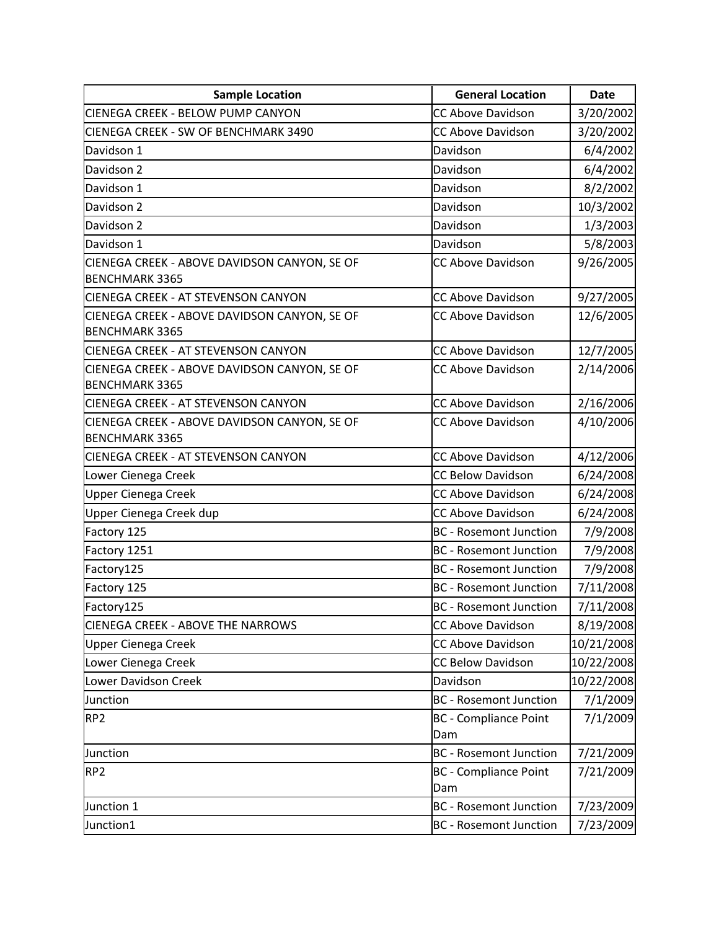| <b>Sample Location</b>                                                | <b>General Location</b>             | <b>Date</b> |
|-----------------------------------------------------------------------|-------------------------------------|-------------|
| <b>CIENEGA CREEK - BELOW PUMP CANYON</b>                              | <b>CC Above Davidson</b>            | 3/20/2002   |
| CIENEGA CREEK - SW OF BENCHMARK 3490                                  | <b>CC Above Davidson</b>            | 3/20/2002   |
| Davidson 1                                                            | Davidson                            | 6/4/2002    |
| Davidson 2                                                            | Davidson                            | 6/4/2002    |
| Davidson 1                                                            | Davidson                            | 8/2/2002    |
| Davidson 2                                                            | Davidson                            | 10/3/2002   |
| Davidson 2                                                            | Davidson                            | 1/3/2003    |
| Davidson 1                                                            | Davidson                            | 5/8/2003    |
| CIENEGA CREEK - ABOVE DAVIDSON CANYON, SE OF<br><b>BENCHMARK 3365</b> | <b>CC Above Davidson</b>            | 9/26/2005   |
| <b>CIENEGA CREEK - AT STEVENSON CANYON</b>                            | <b>CC Above Davidson</b>            | 9/27/2005   |
| CIENEGA CREEK - ABOVE DAVIDSON CANYON, SE OF<br><b>BENCHMARK 3365</b> | <b>CC Above Davidson</b>            | 12/6/2005   |
| <b>CIENEGA CREEK - AT STEVENSON CANYON</b>                            | <b>CC Above Davidson</b>            | 12/7/2005   |
| CIENEGA CREEK - ABOVE DAVIDSON CANYON, SE OF<br><b>BENCHMARK 3365</b> | <b>CC Above Davidson</b>            | 2/14/2006   |
| <b>CIENEGA CREEK - AT STEVENSON CANYON</b>                            | <b>CC Above Davidson</b>            | 2/16/2006   |
| CIENEGA CREEK - ABOVE DAVIDSON CANYON, SE OF<br><b>BENCHMARK 3365</b> | <b>CC Above Davidson</b>            | 4/10/2006   |
| <b>CIENEGA CREEK - AT STEVENSON CANYON</b>                            | <b>CC Above Davidson</b>            | 4/12/2006   |
| Lower Cienega Creek                                                   | <b>CC Below Davidson</b>            | 6/24/2008   |
| <b>Upper Cienega Creek</b>                                            | <b>CC Above Davidson</b>            | 6/24/2008   |
| Upper Cienega Creek dup                                               | <b>CC Above Davidson</b>            | 6/24/2008   |
| Factory 125                                                           | <b>BC</b> - Rosemont Junction       | 7/9/2008    |
| Factory 1251                                                          | <b>BC</b> - Rosemont Junction       | 7/9/2008    |
| Factory125                                                            | <b>BC</b> - Rosemont Junction       | 7/9/2008    |
| Factory 125                                                           | <b>BC</b> - Rosemont Junction       | 7/11/2008   |
| Factory125                                                            | <b>BC</b> - Rosemont Junction       | 7/11/2008   |
| <b>CIENEGA CREEK - ABOVE THE NARROWS</b>                              | <b>CC Above Davidson</b>            | 8/19/2008   |
| Upper Cienega Creek                                                   | <b>CC Above Davidson</b>            | 10/21/2008  |
| Lower Cienega Creek                                                   | <b>CC Below Davidson</b>            | 10/22/2008  |
| Lower Davidson Creek                                                  | Davidson                            | 10/22/2008  |
| Junction                                                              | <b>BC</b> - Rosemont Junction       | 7/1/2009    |
| RP <sub>2</sub>                                                       | <b>BC</b> - Compliance Point<br>Dam | 7/1/2009    |
| Junction                                                              | <b>BC</b> - Rosemont Junction       | 7/21/2009   |
| RP <sub>2</sub>                                                       | <b>BC</b> - Compliance Point<br>Dam | 7/21/2009   |
| Junction 1                                                            | <b>BC</b> - Rosemont Junction       | 7/23/2009   |
| Junction1                                                             | <b>BC</b> - Rosemont Junction       | 7/23/2009   |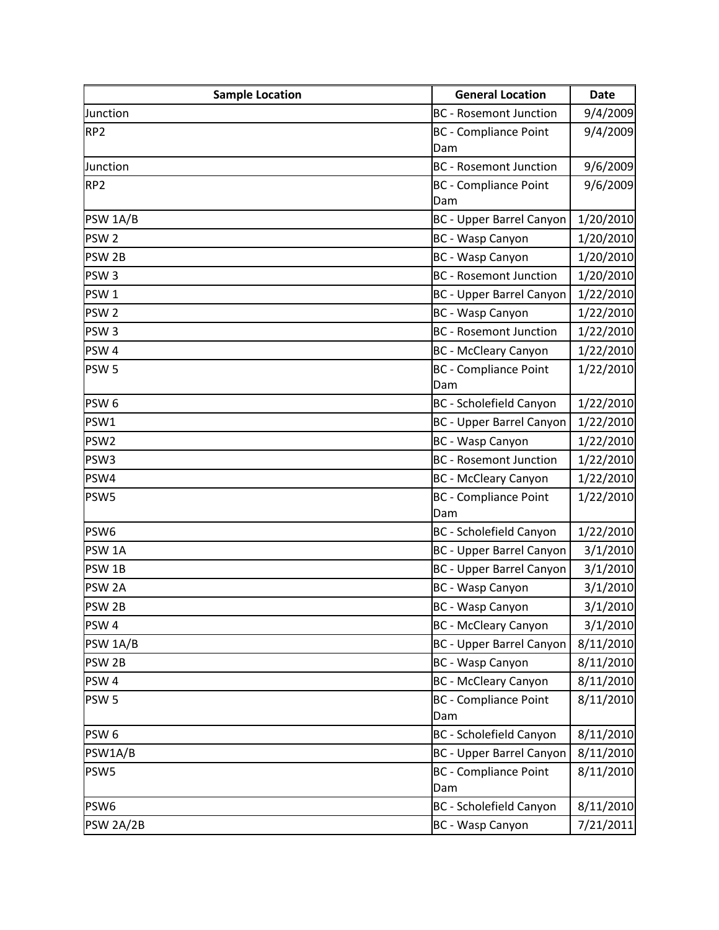| <b>Sample Location</b> | <b>General Location</b>             | <b>Date</b> |
|------------------------|-------------------------------------|-------------|
| Junction               | <b>BC</b> - Rosemont Junction       | 9/4/2009    |
| RP <sub>2</sub>        | <b>BC</b> - Compliance Point        | 9/4/2009    |
|                        | Dam                                 |             |
| Junction               | <b>BC</b> - Rosemont Junction       | 9/6/2009    |
| RP <sub>2</sub>        | <b>BC</b> - Compliance Point        | 9/6/2009    |
|                        | Dam                                 |             |
| PSW 1A/B               | <b>BC - Upper Barrel Canyon</b>     | 1/20/2010   |
| PSW <sub>2</sub>       | BC - Wasp Canyon                    | 1/20/2010   |
| PSW <sub>2B</sub>      | BC - Wasp Canyon                    | 1/20/2010   |
| PSW <sub>3</sub>       | <b>BC</b> - Rosemont Junction       | 1/20/2010   |
| PSW <sub>1</sub>       | <b>BC</b> - Upper Barrel Canyon     | 1/22/2010   |
| PSW <sub>2</sub>       | BC - Wasp Canyon                    | 1/22/2010   |
| PSW <sub>3</sub>       | <b>BC</b> - Rosemont Junction       | 1/22/2010   |
| PSW <sub>4</sub>       | <b>BC</b> - McCleary Canyon         | 1/22/2010   |
| PSW <sub>5</sub>       | <b>BC</b> - Compliance Point        | 1/22/2010   |
|                        | Dam                                 |             |
| PSW <sub>6</sub>       | <b>BC</b> - Scholefield Canyon      | 1/22/2010   |
| PSW1                   | <b>BC</b> - Upper Barrel Canyon     | 1/22/2010   |
| PSW <sub>2</sub>       | <b>BC</b> - Wasp Canyon             | 1/22/2010   |
| PSW <sub>3</sub>       | <b>BC</b> - Rosemont Junction       | 1/22/2010   |
| PSW4                   | <b>BC</b> - McCleary Canyon         | 1/22/2010   |
| PSW5                   | <b>BC</b> - Compliance Point<br>Dam | 1/22/2010   |
| PSW6                   | <b>BC</b> - Scholefield Canyon      | 1/22/2010   |
| PSW <sub>1A</sub>      | <b>BC - Upper Barrel Canyon</b>     | 3/1/2010    |
| PSW <sub>1B</sub>      | <b>BC - Upper Barrel Canyon</b>     | 3/1/2010    |
| PSW <sub>2A</sub>      | BC - Wasp Canyon                    | 3/1/2010    |
| PSW <sub>2B</sub>      | BC - Wasp Canyon                    | 3/1/2010    |
| PSW <sub>4</sub>       | <b>BC</b> - McCleary Canyon         | 3/1/2010    |
| PSW 1A/B               | <b>BC</b> - Upper Barrel Canyon     | 8/11/2010   |
| PSW <sub>2B</sub>      | BC - Wasp Canyon                    | 8/11/2010   |
| PSW <sub>4</sub>       | <b>BC</b> - McCleary Canyon         | 8/11/2010   |
| PSW <sub>5</sub>       | <b>BC</b> - Compliance Point        | 8/11/2010   |
|                        | Dam                                 |             |
| PSW <sub>6</sub>       | <b>BC</b> - Scholefield Canyon      | 8/11/2010   |
| PSW1A/B                | <b>BC - Upper Barrel Canyon</b>     | 8/11/2010   |
| PSW5                   | <b>BC</b> - Compliance Point        | 8/11/2010   |
|                        | Dam                                 |             |
| PSW6                   | <b>BC</b> - Scholefield Canyon      | 8/11/2010   |
| PSW 2A/2B              | BC - Wasp Canyon                    | 7/21/2011   |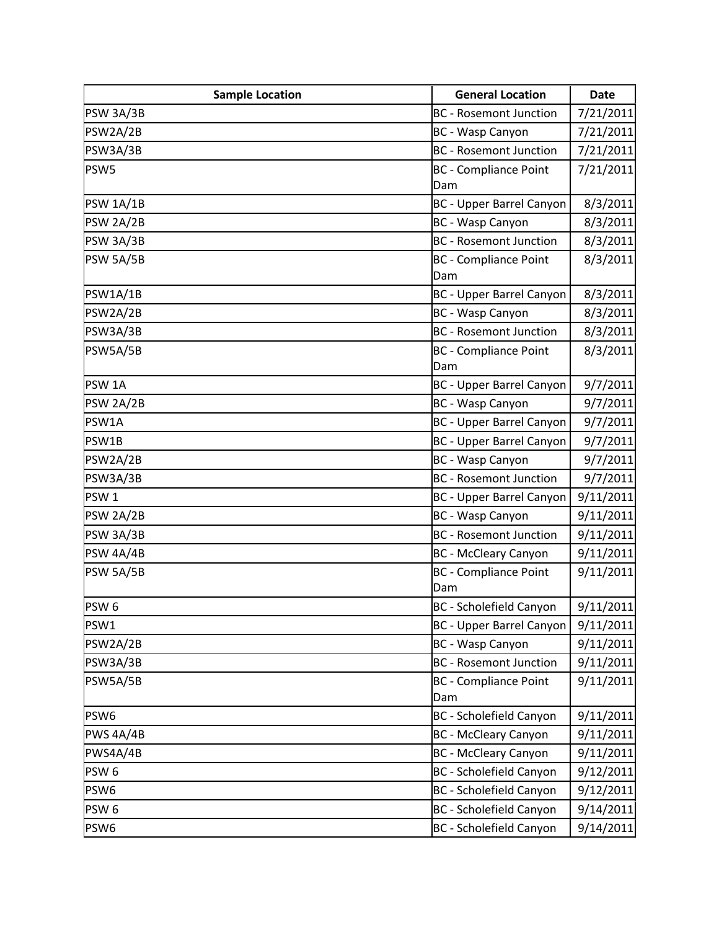| <b>Sample Location</b> | <b>General Location</b>         | <b>Date</b> |
|------------------------|---------------------------------|-------------|
| PSW 3A/3B              | <b>BC</b> - Rosemont Junction   | 7/21/2011   |
| PSW2A/2B               | BC - Wasp Canyon                | 7/21/2011   |
| PSW3A/3B               | <b>BC</b> - Rosemont Junction   | 7/21/2011   |
| PSW5                   | <b>BC</b> - Compliance Point    | 7/21/2011   |
|                        | Dam                             |             |
| <b>PSW 1A/1B</b>       | <b>BC</b> - Upper Barrel Canyon | 8/3/2011    |
| PSW 2A/2B              | BC - Wasp Canyon                | 8/3/2011    |
| PSW 3A/3B              | <b>BC</b> - Rosemont Junction   | 8/3/2011    |
| PSW 5A/5B              | <b>BC</b> - Compliance Point    | 8/3/2011    |
|                        | Dam                             |             |
| PSW1A/1B               | <b>BC</b> - Upper Barrel Canyon | 8/3/2011    |
| PSW2A/2B               | BC - Wasp Canyon                | 8/3/2011    |
| PSW3A/3B               | <b>BC</b> - Rosemont Junction   | 8/3/2011    |
| PSW5A/5B               | <b>BC</b> - Compliance Point    | 8/3/2011    |
|                        | Dam                             |             |
| PSW <sub>1A</sub>      | <b>BC</b> - Upper Barrel Canyon | 9/7/2011    |
| PSW 2A/2B              | BC - Wasp Canyon                | 9/7/2011    |
| PSW1A                  | <b>BC</b> - Upper Barrel Canyon | 9/7/2011    |
| PSW1B                  | <b>BC</b> - Upper Barrel Canyon | 9/7/2011    |
| PSW2A/2B               | BC - Wasp Canyon                | 9/7/2011    |
| PSW3A/3B               | <b>BC</b> - Rosemont Junction   | 9/7/2011    |
| PSW <sub>1</sub>       | <b>BC</b> - Upper Barrel Canyon | 9/11/2011   |
| PSW 2A/2B              | BC - Wasp Canyon                | 9/11/2011   |
| PSW 3A/3B              | <b>BC</b> - Rosemont Junction   | 9/11/2011   |
| PSW 4A/4B              | <b>BC</b> - McCleary Canyon     | 9/11/2011   |
| PSW 5A/5B              | <b>BC</b> - Compliance Point    | 9/11/2011   |
|                        | Dam                             |             |
| PSW <sub>6</sub>       | BC - Scholefield Canyon         | 9/11/2011   |
| PSW1                   | <b>BC</b> - Upper Barrel Canyon | 9/11/2011   |
| PSW2A/2B               | <b>BC</b> - Wasp Canyon         | 9/11/2011   |
| PSW3A/3B               | <b>BC</b> - Rosemont Junction   | 9/11/2011   |
| PSW5A/5B               | <b>BC</b> - Compliance Point    | 9/11/2011   |
|                        | Dam                             |             |
| PSW6                   | <b>BC</b> - Scholefield Canyon  | 9/11/2011   |
| PWS 4A/4B              | <b>BC</b> - McCleary Canyon     | 9/11/2011   |
| PWS4A/4B               | <b>BC</b> - McCleary Canyon     | 9/11/2011   |
| PSW <sub>6</sub>       | <b>BC</b> - Scholefield Canyon  | 9/12/2011   |
| PSW6                   | <b>BC</b> - Scholefield Canyon  | 9/12/2011   |
| PSW <sub>6</sub>       | <b>BC</b> - Scholefield Canyon  | 9/14/2011   |
| PSW6                   | <b>BC</b> - Scholefield Canyon  | 9/14/2011   |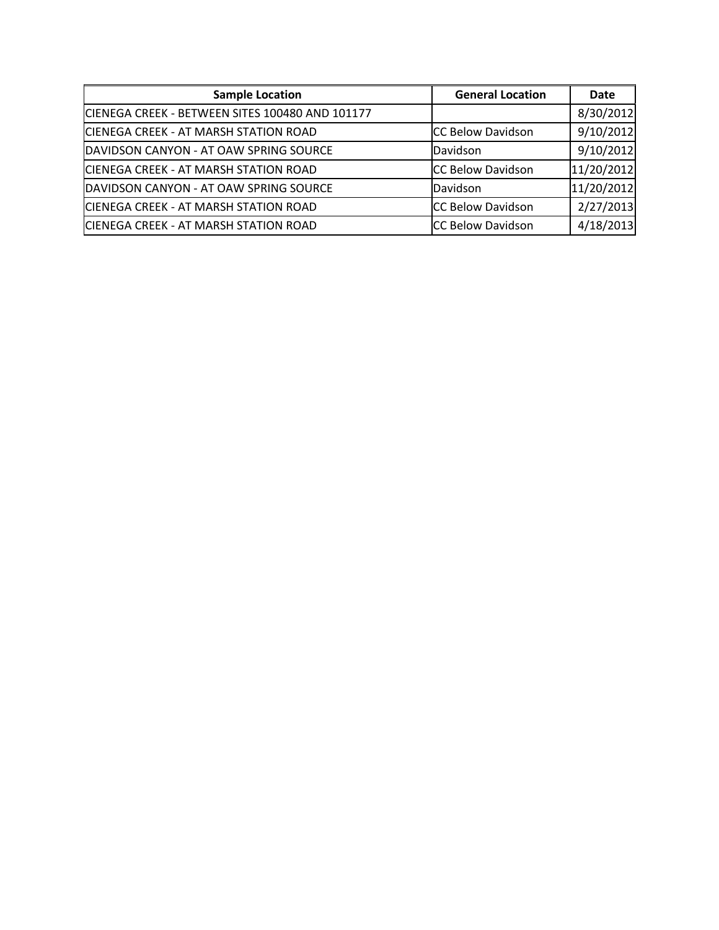| <b>Sample Location</b>                          | <b>General Location</b>  | <b>Date</b> |
|-------------------------------------------------|--------------------------|-------------|
| CIENEGA CREEK - BETWEEN SITES 100480 AND 101177 |                          | 8/30/2012   |
| CIENEGA CREEK - AT MARSH STATION ROAD           | <b>CC Below Davidson</b> | 9/10/2012   |
| DAVIDSON CANYON - AT OAW SPRING SOURCE          | Davidson                 | 9/10/2012   |
| CIENEGA CREEK - AT MARSH STATION ROAD           | CC Below Davidson        | 11/20/2012  |
| DAVIDSON CANYON - AT OAW SPRING SOURCE          | Davidson                 | 11/20/2012  |
| CIENEGA CREEK - AT MARSH STATION ROAD           | <b>CC Below Davidson</b> | 2/27/2013   |
| CIENEGA CREEK - AT MARSH STATION ROAD           | <b>CC Below Davidson</b> | 4/18/2013   |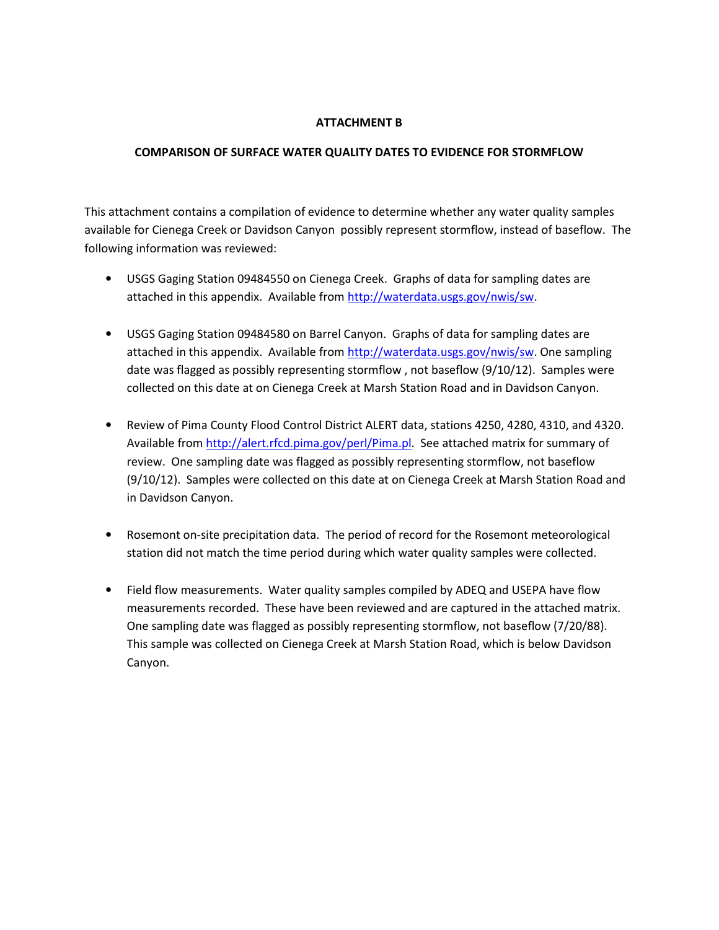#### ATTACHMENT B

#### COMPARISON OF SURFACE WATER QUALITY DATES TO EVIDENCE FOR STORMFLOW

This attachment contains a compilation of evidence to determine whether any water quality samples available for Cienega Creek or Davidson Canyon possibly represent stormflow, instead of baseflow. The following information was reviewed:

- USGS Gaging Station 09484550 on Cienega Creek. Graphs of data for sampling dates are attached in this appendix. Available from http://waterdata.usgs.gov/nwis/sw.
- USGS Gaging Station 09484580 on Barrel Canyon. Graphs of data for sampling dates are attached in this appendix. Available from http://waterdata.usgs.gov/nwis/sw. One sampling date was flagged as possibly representing stormflow , not baseflow (9/10/12). Samples were collected on this date at on Cienega Creek at Marsh Station Road and in Davidson Canyon.
- Review of Pima County Flood Control District ALERT data, stations 4250, 4280, 4310, and 4320. Available from http://alert.rfcd.pima.gov/perl/Pima.pl. See attached matrix for summary of review. One sampling date was flagged as possibly representing stormflow, not baseflow (9/10/12). Samples were collected on this date at on Cienega Creek at Marsh Station Road and in Davidson Canyon.
- Rosemont on-site precipitation data. The period of record for the Rosemont meteorological station did not match the time period during which water quality samples were collected.
- Field flow measurements. Water quality samples compiled by ADEQ and USEPA have flow measurements recorded. These have been reviewed and are captured in the attached matrix. One sampling date was flagged as possibly representing stormflow, not baseflow (7/20/88). This sample was collected on Cienega Creek at Marsh Station Road, which is below Davidson Canyon.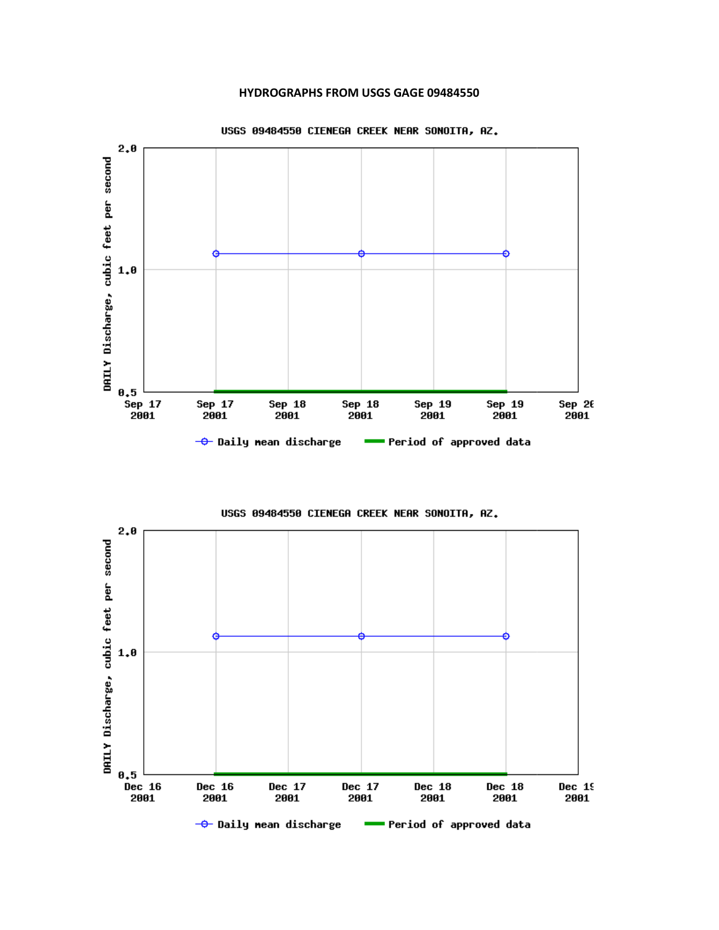#### HYDROGRAPHS FROM USGS GAGE 09484550





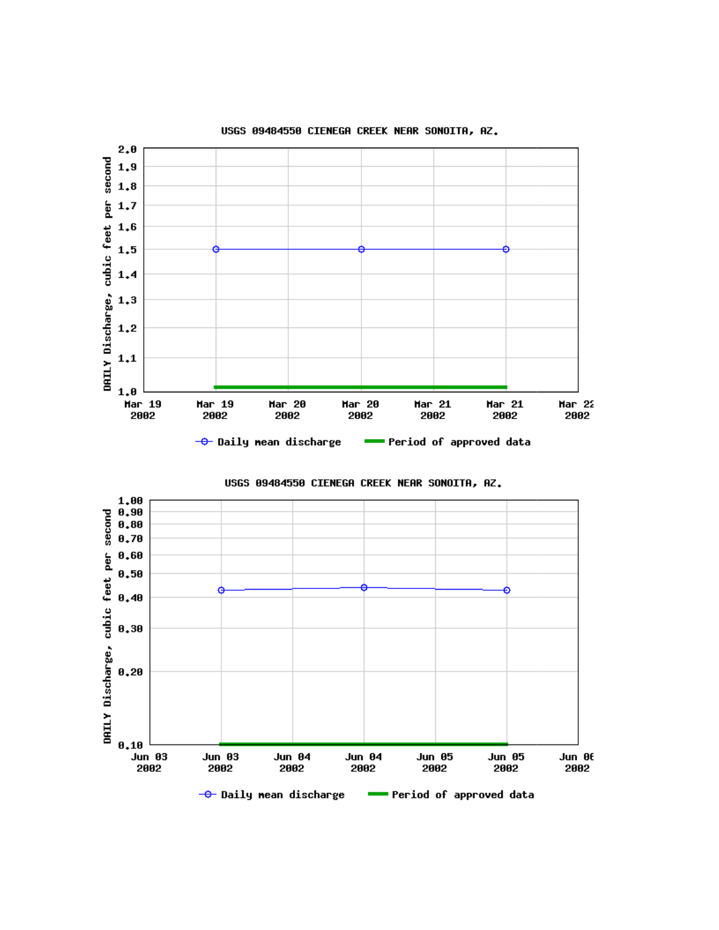



USGS 09484550 CIENEGA CREEK NEAR SONOITA, AZ.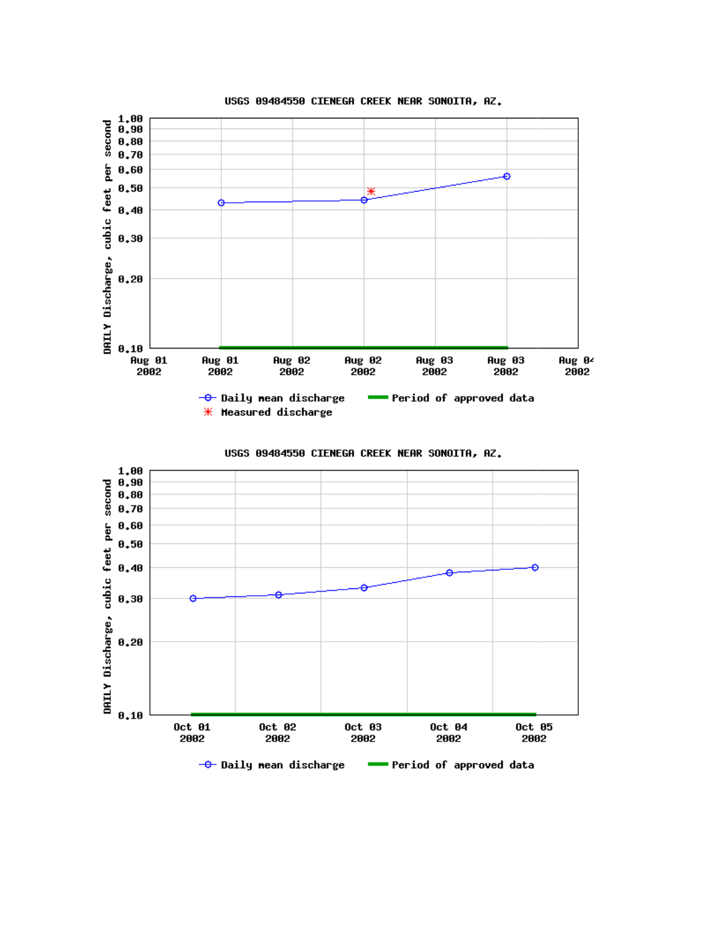

USGS 09484550 CIENEGA CREEK NEAR SONOITA, AZ.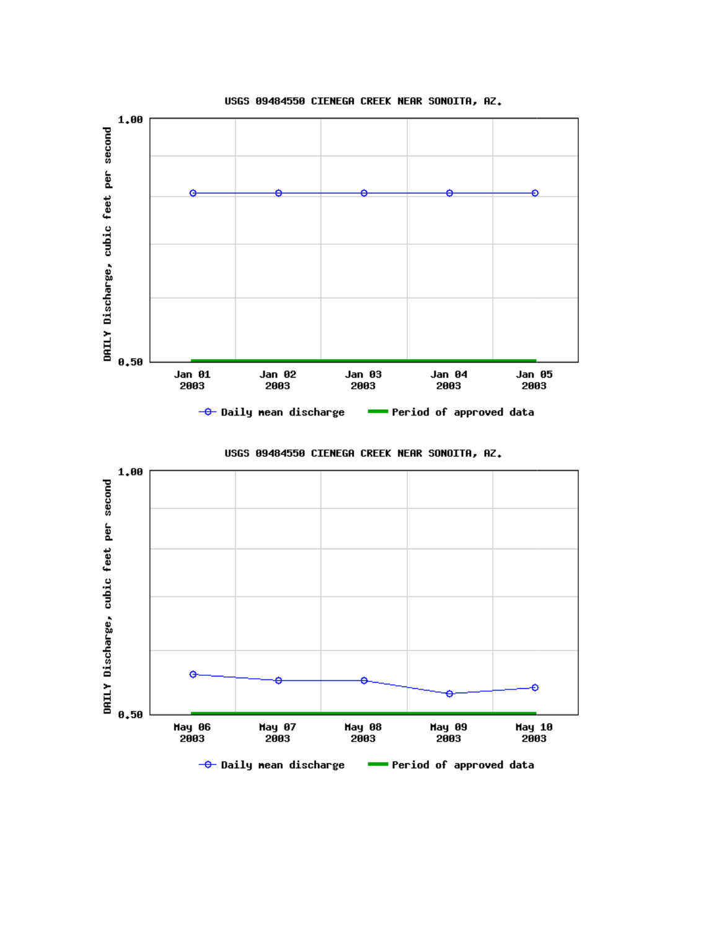

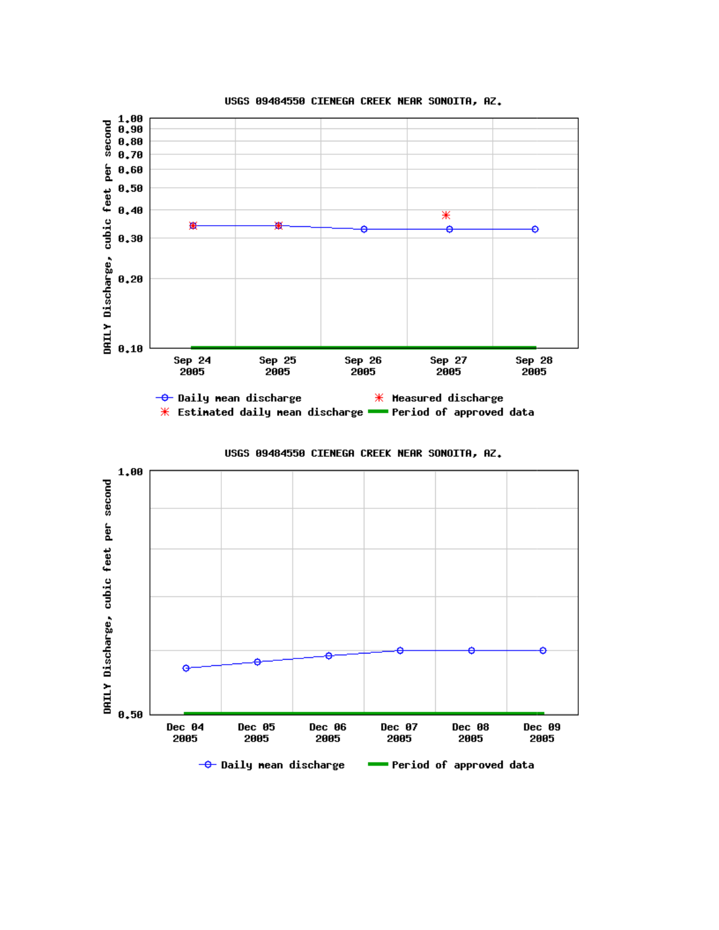

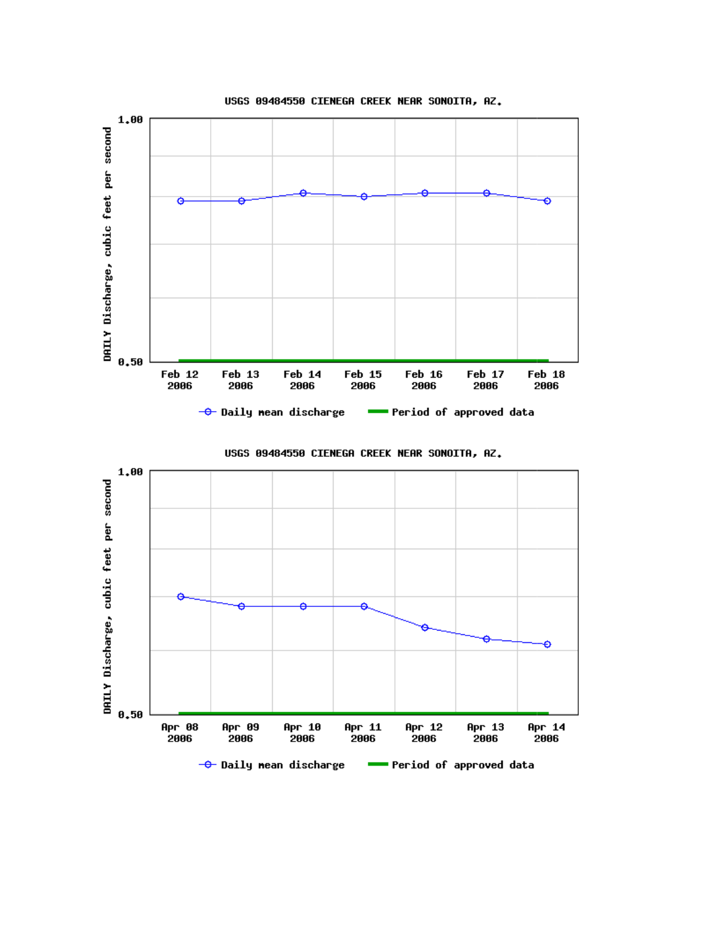

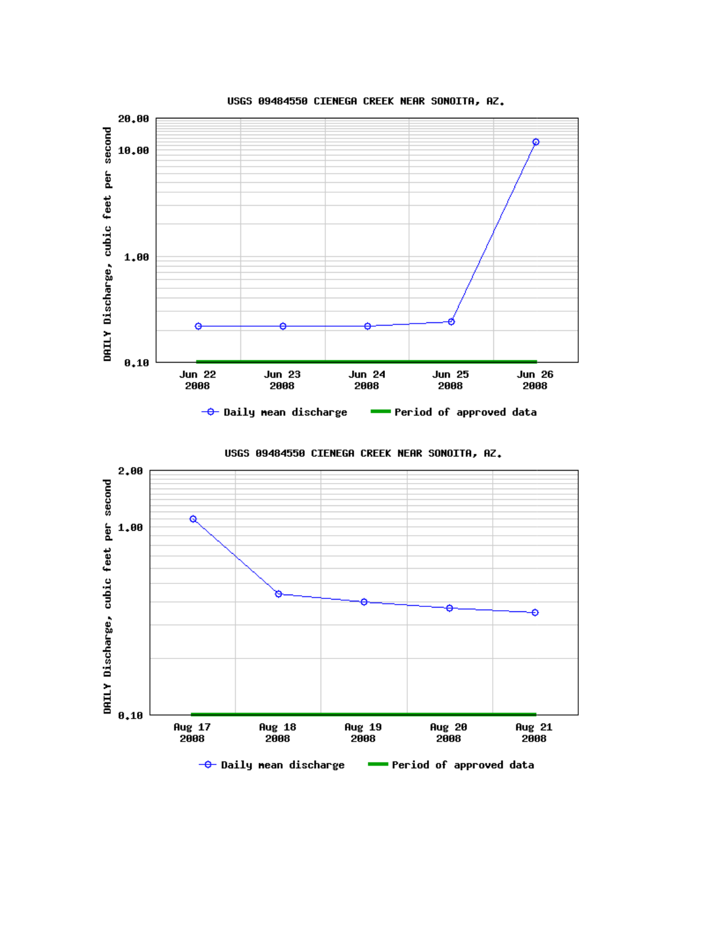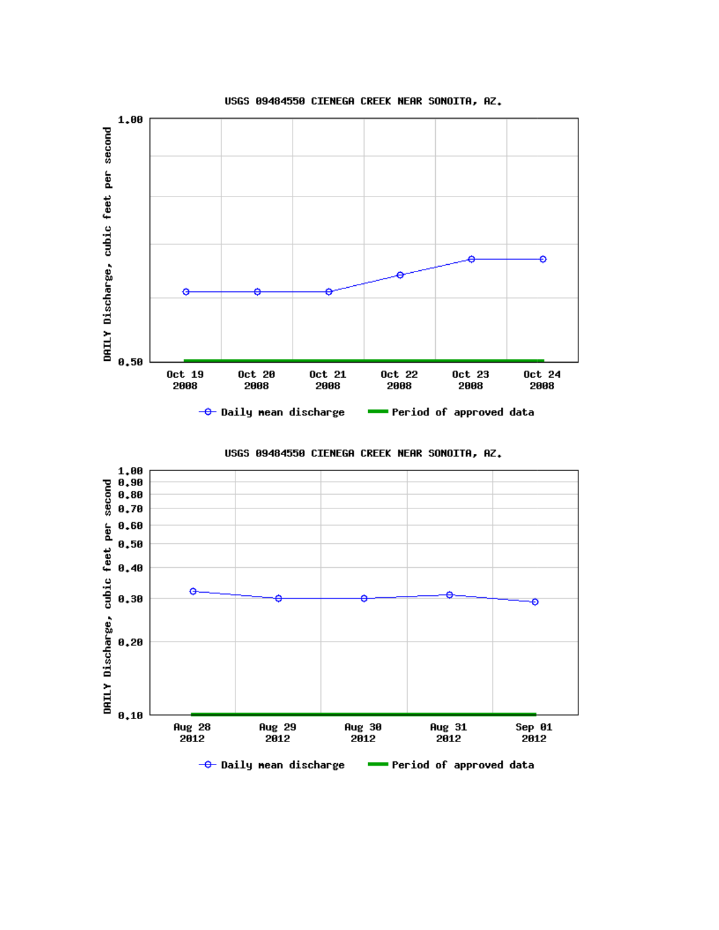

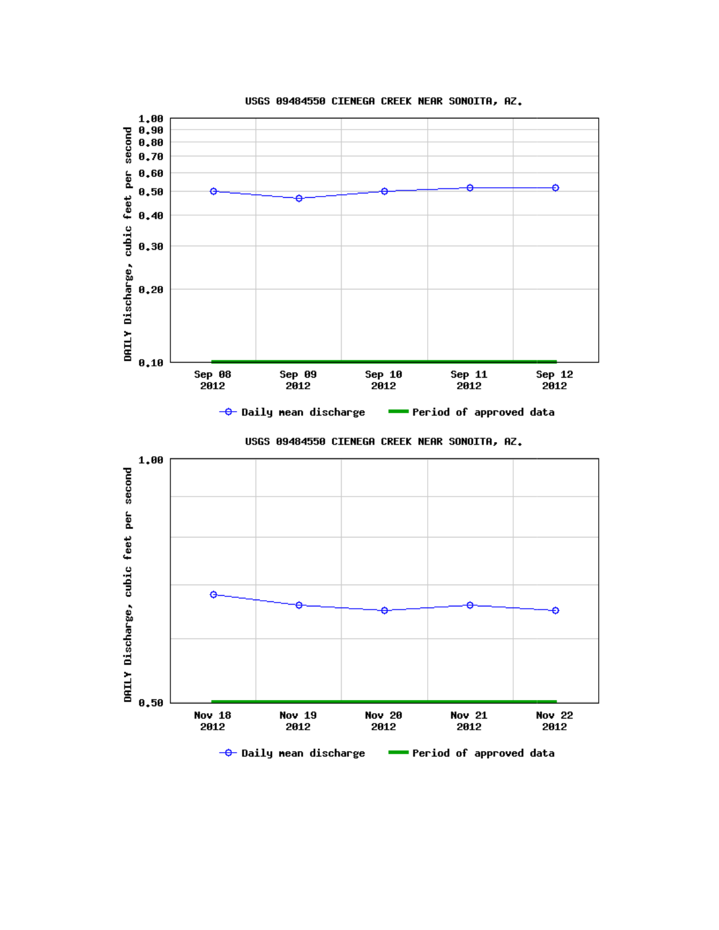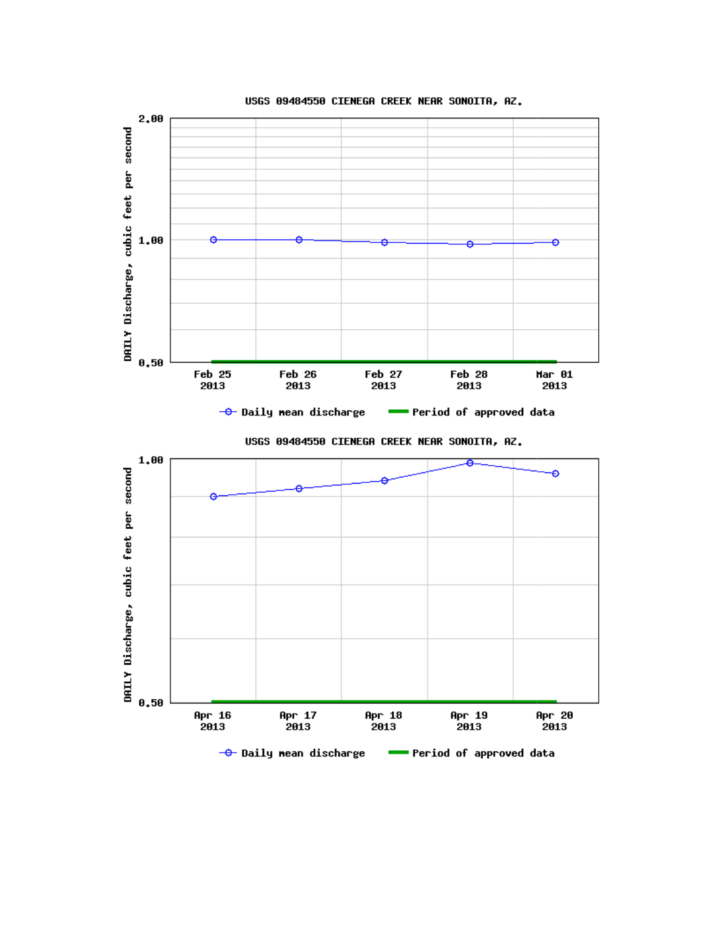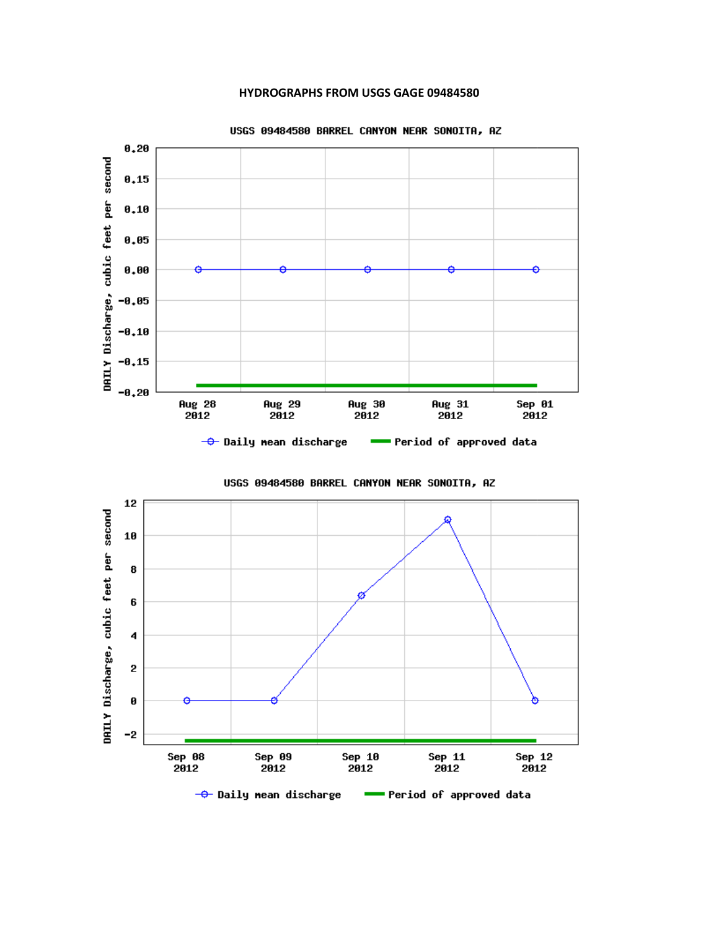#### HYDROGRAPHS FROM USGS GAGE 09484580



USGS 09484580 BARREL CANYON NEAR SONOITA, AZ

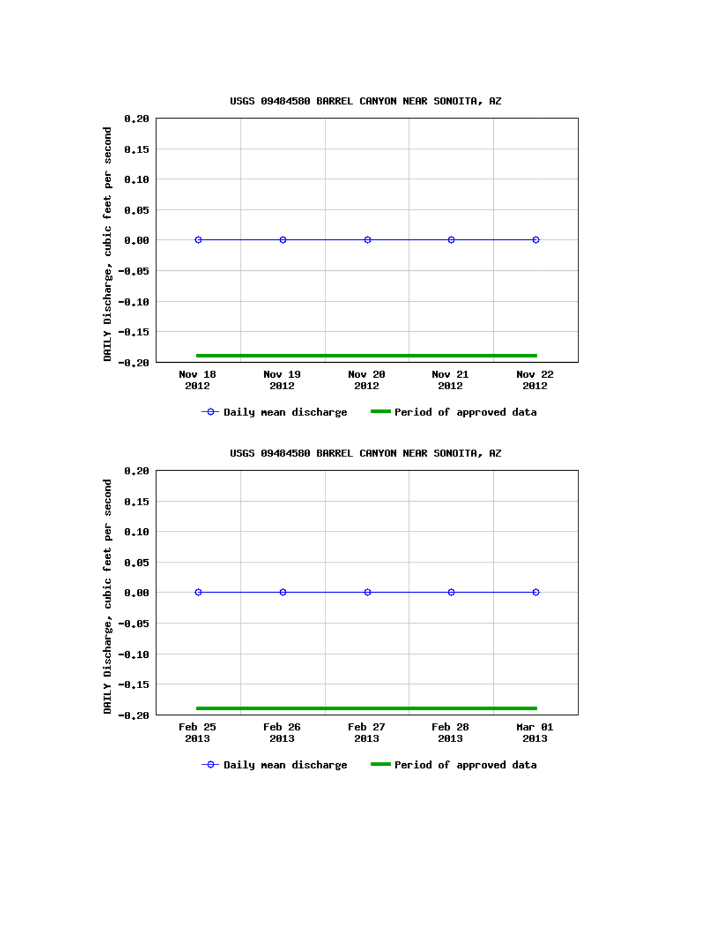



USGS 09484580 BARREL CANYON NEAR SONOITA, AZ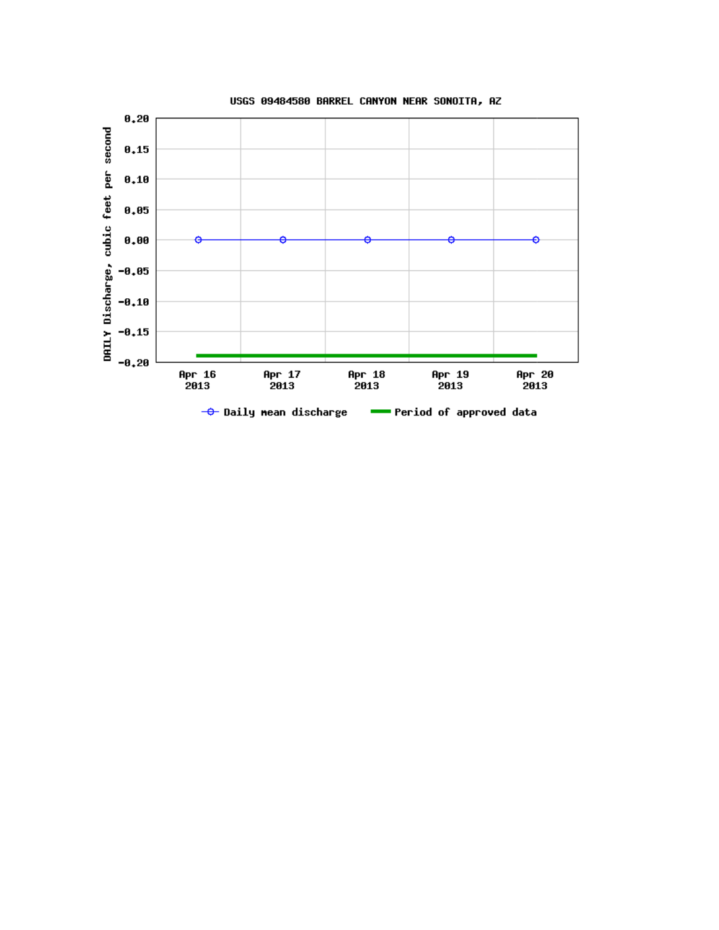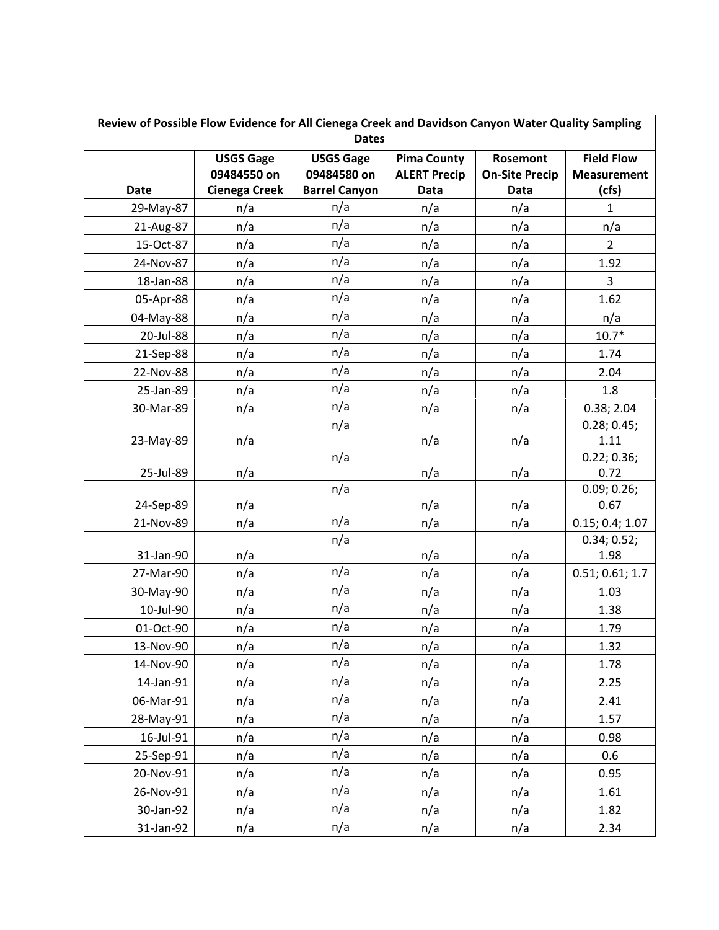| Review of Possible Flow Evidence for All Cienega Creek and Davidson Canyon Water Quality Sampling<br><b>Dates</b> |                      |                      |                     |                       |                     |
|-------------------------------------------------------------------------------------------------------------------|----------------------|----------------------|---------------------|-----------------------|---------------------|
|                                                                                                                   | <b>USGS Gage</b>     | <b>USGS Gage</b>     | <b>Pima County</b>  | Rosemont              | <b>Field Flow</b>   |
|                                                                                                                   | 09484550 on          | 09484580 on          | <b>ALERT Precip</b> | <b>On-Site Precip</b> | <b>Measurement</b>  |
| <b>Date</b>                                                                                                       | <b>Cienega Creek</b> | <b>Barrel Canyon</b> | <b>Data</b>         | <b>Data</b>           | (cfs)               |
| 29-May-87                                                                                                         | n/a                  | n/a                  | n/a                 | n/a                   | 1                   |
| 21-Aug-87                                                                                                         | n/a                  | n/a                  | n/a                 | n/a                   | n/a                 |
| 15-Oct-87                                                                                                         | n/a                  | n/a                  | n/a                 | n/a                   | $\overline{2}$      |
| 24-Nov-87                                                                                                         | n/a                  | n/a                  | n/a                 | n/a                   | 1.92                |
| 18-Jan-88                                                                                                         | n/a                  | n/a                  | n/a                 | n/a                   | $\mathbf{3}$        |
| 05-Apr-88                                                                                                         | n/a                  | n/a                  | n/a                 | n/a                   | 1.62                |
| 04-May-88                                                                                                         | n/a                  | n/a                  | n/a                 | n/a                   | n/a                 |
| 20-Jul-88                                                                                                         | n/a                  | n/a                  | n/a                 | n/a                   | $10.7*$             |
| 21-Sep-88                                                                                                         | n/a                  | n/a                  | n/a                 | n/a                   | 1.74                |
| 22-Nov-88                                                                                                         | n/a                  | n/a                  | n/a                 | n/a                   | 2.04                |
| 25-Jan-89                                                                                                         | n/a                  | n/a                  | n/a                 | n/a                   | 1.8                 |
| 30-Mar-89                                                                                                         | n/a                  | n/a                  | n/a                 | n/a                   | 0.38; 2.04          |
|                                                                                                                   |                      | n/a                  |                     |                       | 0.28; 0.45;         |
| 23-May-89                                                                                                         | n/a                  |                      | n/a                 | n/a                   | 1.11                |
|                                                                                                                   |                      | n/a                  |                     |                       | 0.22; 0.36;         |
| 25-Jul-89                                                                                                         | n/a                  |                      | n/a                 | n/a                   | 0.72                |
| 24-Sep-89                                                                                                         | n/a                  | n/a                  | n/a                 | n/a                   | 0.09; 0.26;<br>0.67 |
| 21-Nov-89                                                                                                         | n/a                  | n/a                  | n/a                 | n/a                   | 0.15; 0.4; 1.07     |
|                                                                                                                   |                      | n/a                  |                     |                       | 0.34; 0.52;         |
| 31-Jan-90                                                                                                         | n/a                  |                      | n/a                 | n/a                   | 1.98                |
| 27-Mar-90                                                                                                         | n/a                  | n/a                  | n/a                 | n/a                   | 0.51; 0.61; 1.7     |
| 30-May-90                                                                                                         | n/a                  | n/a                  | n/a                 | n/a                   | 1.03                |
| 10-Jul-90                                                                                                         | n/a                  | n/a                  | n/a                 | n/a                   | 1.38                |
| 01-Oct-90                                                                                                         | n/a                  | n/a                  | n/a                 | n/a                   | 1.79                |
| 13-Nov-90                                                                                                         | n/a                  | n/a                  | n/a                 | n/a                   | 1.32                |
| 14-Nov-90                                                                                                         | n/a                  | n/a                  | n/a                 | n/a                   | 1.78                |
| 14-Jan-91                                                                                                         | n/a                  | n/a                  | n/a                 | n/a                   | 2.25                |
| 06-Mar-91                                                                                                         | n/a                  | n/a                  | n/a                 | n/a                   | 2.41                |
| 28-May-91                                                                                                         | n/a                  | n/a                  | n/a                 | n/a                   | 1.57                |
| 16-Jul-91                                                                                                         | n/a                  | n/a                  | n/a                 | n/a                   | 0.98                |
| 25-Sep-91                                                                                                         | n/a                  | n/a                  | n/a                 | n/a                   | 0.6                 |
| 20-Nov-91                                                                                                         | n/a                  | n/a                  | n/a                 | n/a                   | 0.95                |
| 26-Nov-91                                                                                                         | n/a                  | n/a                  | n/a                 | n/a                   | 1.61                |
| 30-Jan-92                                                                                                         | n/a                  | n/a                  | n/a                 | n/a                   | 1.82                |
| 31-Jan-92                                                                                                         | n/a                  | n/a                  | n/a                 | n/a                   | 2.34                |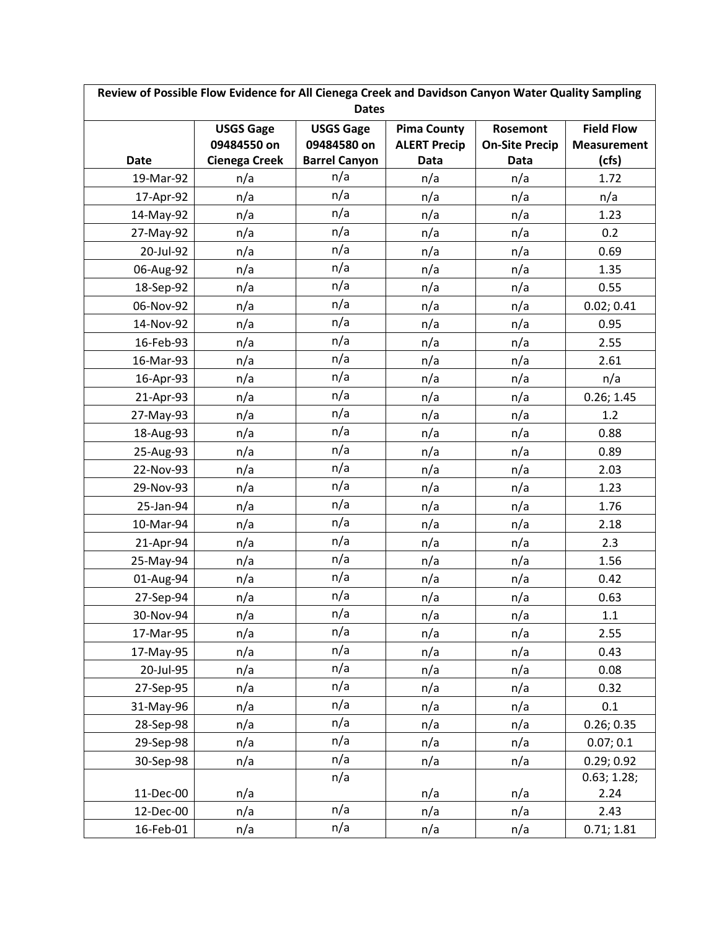| Review of Possible Flow Evidence for All Cienega Creek and Davidson Canyon Water Quality Sampling |                      |                      |                     |                       |                    |
|---------------------------------------------------------------------------------------------------|----------------------|----------------------|---------------------|-----------------------|--------------------|
| <b>Dates</b>                                                                                      |                      |                      |                     |                       |                    |
|                                                                                                   | <b>USGS Gage</b>     | <b>USGS Gage</b>     | <b>Pima County</b>  | <b>Rosemont</b>       | <b>Field Flow</b>  |
|                                                                                                   | 09484550 on          | 09484580 on          | <b>ALERT Precip</b> | <b>On-Site Precip</b> | <b>Measurement</b> |
| <b>Date</b>                                                                                       | <b>Cienega Creek</b> | <b>Barrel Canyon</b> | Data                | <b>Data</b>           | (cfs)              |
| 19-Mar-92                                                                                         | n/a                  | n/a                  | n/a                 | n/a                   | 1.72               |
| 17-Apr-92                                                                                         | n/a                  | n/a                  | n/a                 | n/a                   | n/a                |
| 14-May-92                                                                                         | n/a                  | n/a                  | n/a                 | n/a                   | 1.23               |
| 27-May-92                                                                                         | n/a                  | n/a                  | n/a                 | n/a                   | 0.2                |
| 20-Jul-92                                                                                         | n/a                  | n/a                  | n/a                 | n/a                   | 0.69               |
| 06-Aug-92                                                                                         | n/a                  | n/a                  | n/a                 | n/a                   | 1.35               |
| 18-Sep-92                                                                                         | n/a                  | n/a                  | n/a                 | n/a                   | 0.55               |
| 06-Nov-92                                                                                         | n/a                  | n/a                  | n/a                 | n/a                   | 0.02; 0.41         |
| 14-Nov-92                                                                                         | n/a                  | n/a                  | n/a                 | n/a                   | 0.95               |
| 16-Feb-93                                                                                         | n/a                  | n/a                  | n/a                 | n/a                   | 2.55               |
| 16-Mar-93                                                                                         | n/a                  | n/a                  | n/a                 | n/a                   | 2.61               |
| 16-Apr-93                                                                                         | n/a                  | n/a                  | n/a                 | n/a                   | n/a                |
| 21-Apr-93                                                                                         | n/a                  | n/a                  | n/a                 | n/a                   | 0.26; 1.45         |
| 27-May-93                                                                                         | n/a                  | n/a                  | n/a                 | n/a                   | 1.2                |
| 18-Aug-93                                                                                         | n/a                  | n/a                  | n/a                 | n/a                   | 0.88               |
| 25-Aug-93                                                                                         | n/a                  | n/a                  | n/a                 | n/a                   | 0.89               |
| 22-Nov-93                                                                                         | n/a                  | n/a                  | n/a                 | n/a                   | 2.03               |
| 29-Nov-93                                                                                         | n/a                  | n/a                  | n/a                 | n/a                   | 1.23               |
| 25-Jan-94                                                                                         | n/a                  | n/a                  | n/a                 | n/a                   | 1.76               |
| 10-Mar-94                                                                                         | n/a                  | n/a                  | n/a                 | n/a                   | 2.18               |
| 21-Apr-94                                                                                         | n/a                  | n/a                  | n/a                 | n/a                   | 2.3                |
| 25-May-94                                                                                         | n/a                  | n/a                  | n/a                 | n/a                   | 1.56               |
| 01-Aug-94                                                                                         | n/a                  | n/a                  | n/a                 | n/a                   | 0.42               |
| 27-Sep-94                                                                                         | n/a                  | n/a                  | n/a                 | n/a                   | 0.63               |
| 30-Nov-94                                                                                         | n/a                  | n/a                  | n/a                 | n/a                   | 1.1                |
| 17-Mar-95                                                                                         | n/a                  | n/a                  | n/a                 | n/a                   | 2.55               |
| 17-May-95                                                                                         | n/a                  | n/a                  | n/a                 | n/a                   | 0.43               |
| 20-Jul-95                                                                                         | n/a                  | n/a                  | n/a                 | n/a                   | 0.08               |
| 27-Sep-95                                                                                         | n/a                  | n/a                  | n/a                 | n/a                   | 0.32               |
| 31-May-96                                                                                         | n/a                  | n/a                  | n/a                 | n/a                   | 0.1                |
| 28-Sep-98                                                                                         | n/a                  | n/a                  | n/a                 | n/a                   | 0.26; 0.35         |
| 29-Sep-98                                                                                         | n/a                  | n/a                  | n/a                 | n/a                   | 0.07; 0.1          |
| 30-Sep-98                                                                                         | n/a                  | n/a                  | n/a                 | n/a                   | 0.29; 0.92         |
|                                                                                                   |                      | n/a                  |                     |                       | 0.63; 1.28;        |
| 11-Dec-00                                                                                         | n/a                  |                      | n/a                 | n/a                   | 2.24               |
| 12-Dec-00                                                                                         | n/a                  | n/a                  | n/a                 | n/a                   | 2.43               |
| 16-Feb-01                                                                                         | n/a                  | n/a                  | n/a                 | n/a                   | 0.71; 1.81         |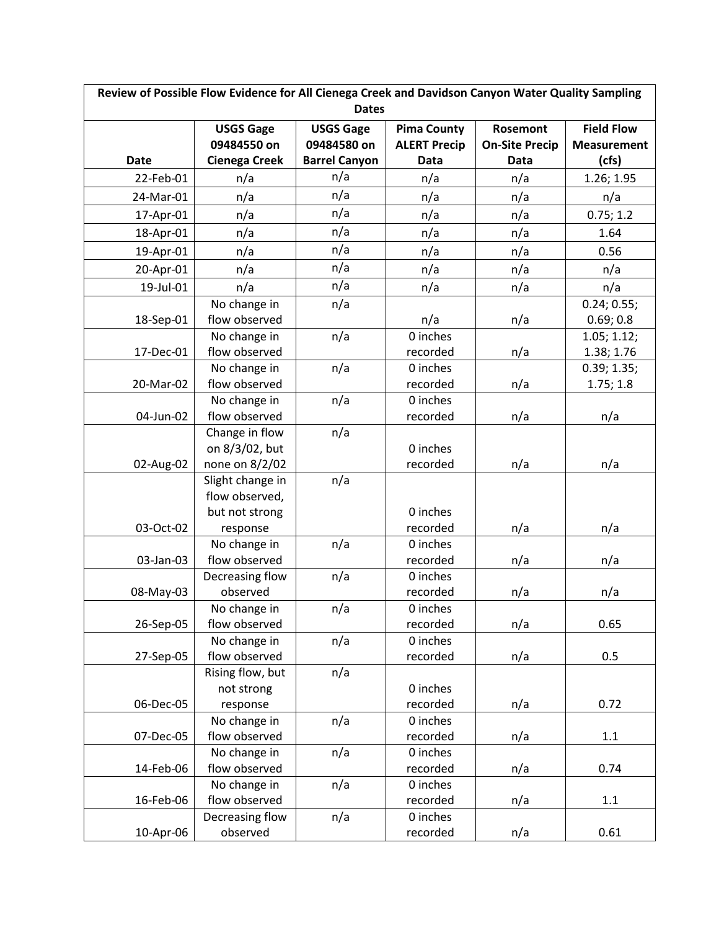| Review of Possible Flow Evidence for All Cienega Creek and Davidson Canyon Water Quality Sampling |                               |                      |                      |                       |                    |  |
|---------------------------------------------------------------------------------------------------|-------------------------------|----------------------|----------------------|-----------------------|--------------------|--|
|                                                                                                   | <b>Dates</b>                  |                      |                      |                       |                    |  |
|                                                                                                   | <b>USGS Gage</b>              | <b>USGS Gage</b>     | <b>Pima County</b>   | Rosemont              | <b>Field Flow</b>  |  |
|                                                                                                   | 09484550 on                   | 09484580 on          | <b>ALERT Precip</b>  | <b>On-Site Precip</b> | <b>Measurement</b> |  |
| <b>Date</b>                                                                                       | <b>Cienega Creek</b>          | <b>Barrel Canyon</b> | <b>Data</b>          | <b>Data</b>           | (cfs)              |  |
| 22-Feb-01                                                                                         | n/a                           | n/a                  | n/a                  | n/a                   | 1.26; 1.95         |  |
| 24-Mar-01                                                                                         | n/a                           | n/a                  | n/a                  | n/a                   | n/a                |  |
| 17-Apr-01                                                                                         | n/a                           | n/a                  | n/a                  | n/a                   | 0.75; 1.2          |  |
| 18-Apr-01                                                                                         | n/a                           | n/a                  | n/a                  | n/a                   | 1.64               |  |
| 19-Apr-01                                                                                         | n/a                           | n/a                  | n/a                  | n/a                   | 0.56               |  |
| 20-Apr-01                                                                                         | n/a                           | n/a                  | n/a                  | n/a                   | n/a                |  |
| 19-Jul-01                                                                                         | n/a                           | n/a                  | n/a                  | n/a                   | n/a                |  |
|                                                                                                   | No change in                  | n/a                  |                      |                       | 0.24; 0.55;        |  |
| 18-Sep-01                                                                                         | flow observed                 |                      | n/a                  | n/a                   | 0.69; 0.8          |  |
|                                                                                                   | No change in                  | n/a                  | 0 inches             |                       | 1.05; 1.12;        |  |
| 17-Dec-01                                                                                         | flow observed                 |                      | recorded             | n/a                   | 1.38; 1.76         |  |
|                                                                                                   | No change in                  | n/a                  | 0 inches             |                       | 0.39; 1.35;        |  |
| 20-Mar-02                                                                                         | flow observed                 |                      | recorded             | n/a                   | 1.75; 1.8          |  |
|                                                                                                   | No change in                  | n/a                  | 0 inches             |                       |                    |  |
| 04-Jun-02                                                                                         | flow observed                 |                      | recorded             | n/a                   | n/a                |  |
|                                                                                                   | Change in flow                | n/a                  |                      |                       |                    |  |
|                                                                                                   | on 8/3/02, but                |                      | 0 inches             |                       |                    |  |
| 02-Aug-02                                                                                         | none on 8/2/02                |                      | recorded             | n/a                   | n/a                |  |
|                                                                                                   | Slight change in              | n/a                  |                      |                       |                    |  |
|                                                                                                   | flow observed,                |                      |                      |                       |                    |  |
|                                                                                                   | but not strong                |                      | 0 inches             |                       |                    |  |
| 03-Oct-02                                                                                         | response                      |                      | recorded             | n/a                   | n/a                |  |
|                                                                                                   | No change in                  | n/a                  | 0 inches             |                       |                    |  |
| 03-Jan-03                                                                                         | flow observed                 |                      | recorded             | n/a                   | n/a                |  |
|                                                                                                   | Decreasing flow<br>observed   | n/a                  | 0 inches<br>recorded |                       |                    |  |
| 08-May-03                                                                                         |                               |                      | 0 inches             | n/a                   | n/a                |  |
| 26-Sep-05                                                                                         | No change in<br>flow observed | n/a                  | recorded             | n/a                   | 0.65               |  |
|                                                                                                   | No change in                  | n/a                  | 0 inches             |                       |                    |  |
| 27-Sep-05                                                                                         | flow observed                 |                      | recorded             | n/a                   | 0.5                |  |
|                                                                                                   | Rising flow, but              | n/a                  |                      |                       |                    |  |
|                                                                                                   | not strong                    |                      | 0 inches             |                       |                    |  |
| 06-Dec-05                                                                                         | response                      |                      | recorded             | n/a                   | 0.72               |  |
|                                                                                                   | No change in                  | n/a                  | 0 inches             |                       |                    |  |
| 07-Dec-05                                                                                         | flow observed                 |                      | recorded             | n/a                   | 1.1                |  |
|                                                                                                   | No change in                  | n/a                  | 0 inches             |                       |                    |  |
| 14-Feb-06                                                                                         | flow observed                 |                      | recorded             | n/a                   | 0.74               |  |
|                                                                                                   | No change in                  | n/a                  | 0 inches             |                       |                    |  |
| 16-Feb-06                                                                                         | flow observed                 |                      | recorded             | n/a                   | $1.1\,$            |  |
|                                                                                                   | Decreasing flow               | n/a                  | 0 inches             |                       |                    |  |
| 10-Apr-06                                                                                         | observed                      |                      | recorded             | n/a                   | 0.61               |  |